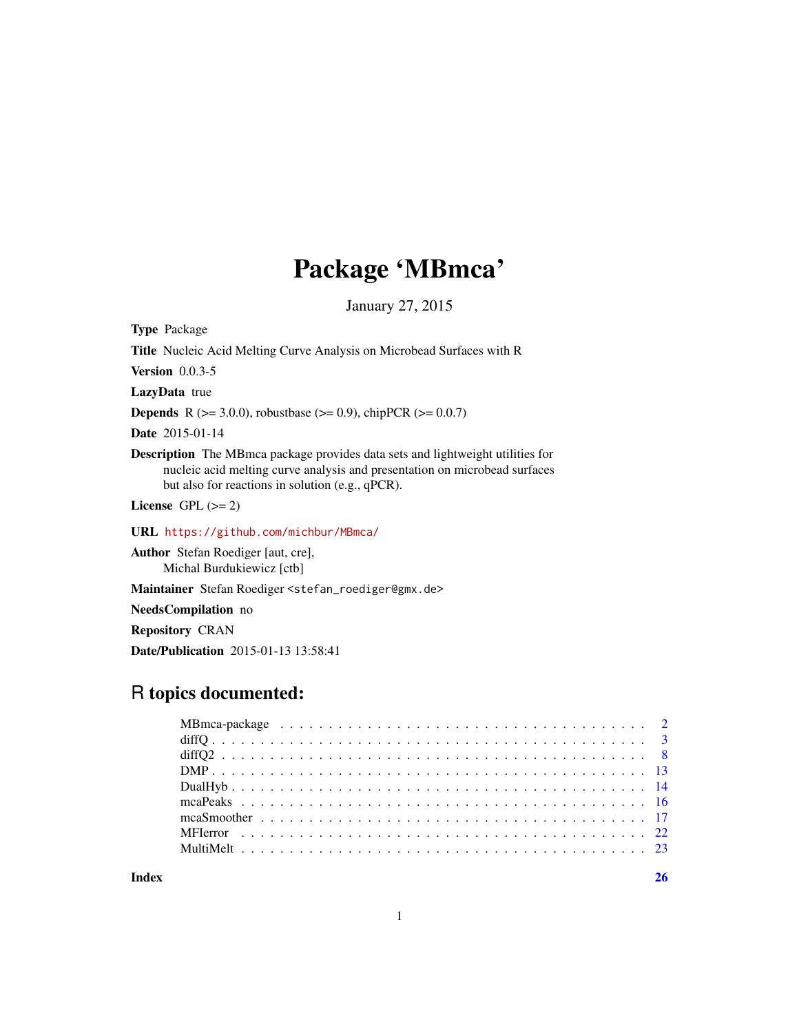# Package 'MBmca'

January 27, 2015

<span id="page-0-0"></span>Type Package

Title Nucleic Acid Melting Curve Analysis on Microbead Surfaces with R

Version 0.0.3-5

LazyData true

**Depends** R ( $>= 3.0.0$ ), robustbase ( $>= 0.9$ ), chipPCR ( $>= 0.0.7$ )

Date 2015-01-14

Description The MBmca package provides data sets and lightweight utilities for nucleic acid melting curve analysis and presentation on microbead surfaces but also for reactions in solution (e.g., qPCR).

License GPL  $(>= 2)$ 

URL <https://github.com/michbur/MBmca/>

Author Stefan Roediger [aut, cre], Michal Burdukiewicz [ctb]

Maintainer Stefan Roediger <stefan\_roediger@gmx.de>

NeedsCompilation no

Repository CRAN

Date/Publication 2015-01-13 13:58:41

# R topics documented:

**Index** [26](#page-25-0)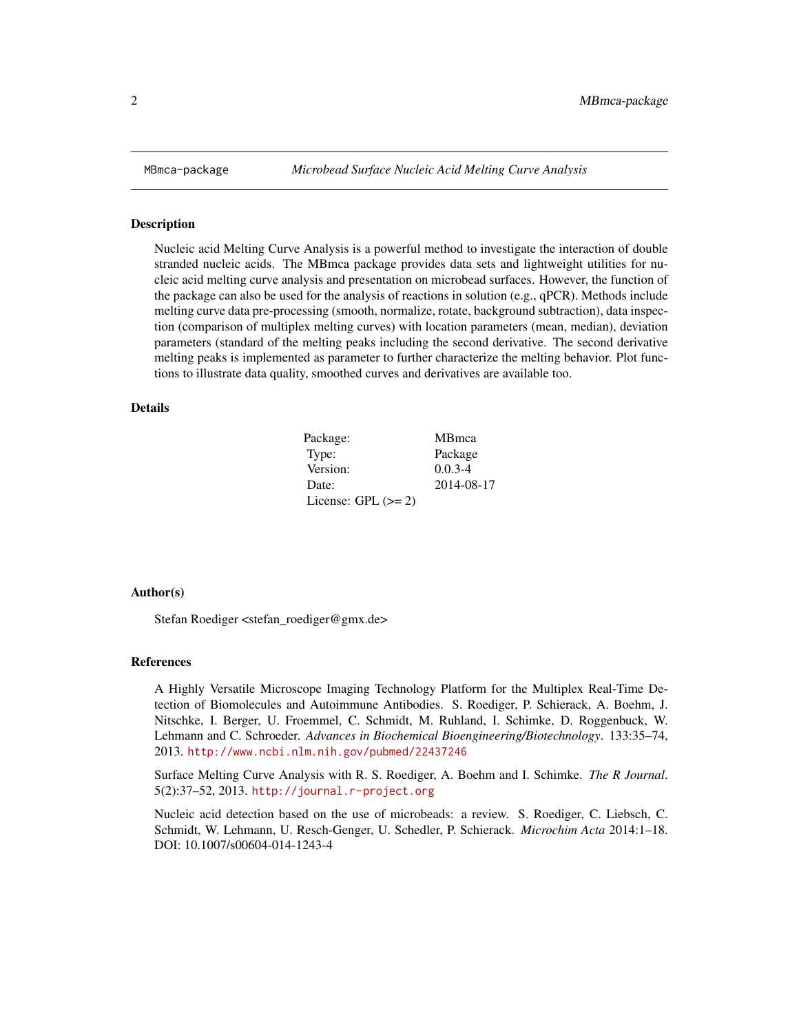<span id="page-1-0"></span>

#### Description

Nucleic acid Melting Curve Analysis is a powerful method to investigate the interaction of double stranded nucleic acids. The MBmca package provides data sets and lightweight utilities for nucleic acid melting curve analysis and presentation on microbead surfaces. However, the function of the package can also be used for the analysis of reactions in solution (e.g., qPCR). Methods include melting curve data pre-processing (smooth, normalize, rotate, background subtraction), data inspection (comparison of multiplex melting curves) with location parameters (mean, median), deviation parameters (standard of the melting peaks including the second derivative. The second derivative melting peaks is implemented as parameter to further characterize the melting behavior. Plot functions to illustrate data quality, smoothed curves and derivatives are available too.

# Details

| Package:              | <b>MB</b> mca |
|-----------------------|---------------|
| Type:                 | Package       |
| Version:              | $0.0.3 - 4$   |
| Date:                 | 2014-08-17    |
| License: GPL $(>= 2)$ |               |

#### Author(s)

Stefan Roediger <stefan\_roediger@gmx.de>

#### References

A Highly Versatile Microscope Imaging Technology Platform for the Multiplex Real-Time Detection of Biomolecules and Autoimmune Antibodies. S. Roediger, P. Schierack, A. Boehm, J. Nitschke, I. Berger, U. Froemmel, C. Schmidt, M. Ruhland, I. Schimke, D. Roggenbuck, W. Lehmann and C. Schroeder. *Advances in Biochemical Bioengineering/Biotechnology*. 133:35–74, 2013. <http://www.ncbi.nlm.nih.gov/pubmed/22437246>

Surface Melting Curve Analysis with R. S. Roediger, A. Boehm and I. Schimke. *The R Journal*. 5(2):37–52, 2013. <http://journal.r-project.org>

Nucleic acid detection based on the use of microbeads: a review. S. Roediger, C. Liebsch, C. Schmidt, W. Lehmann, U. Resch-Genger, U. Schedler, P. Schierack. *Microchim Acta* 2014:1–18. DOI: 10.1007/s00604-014-1243-4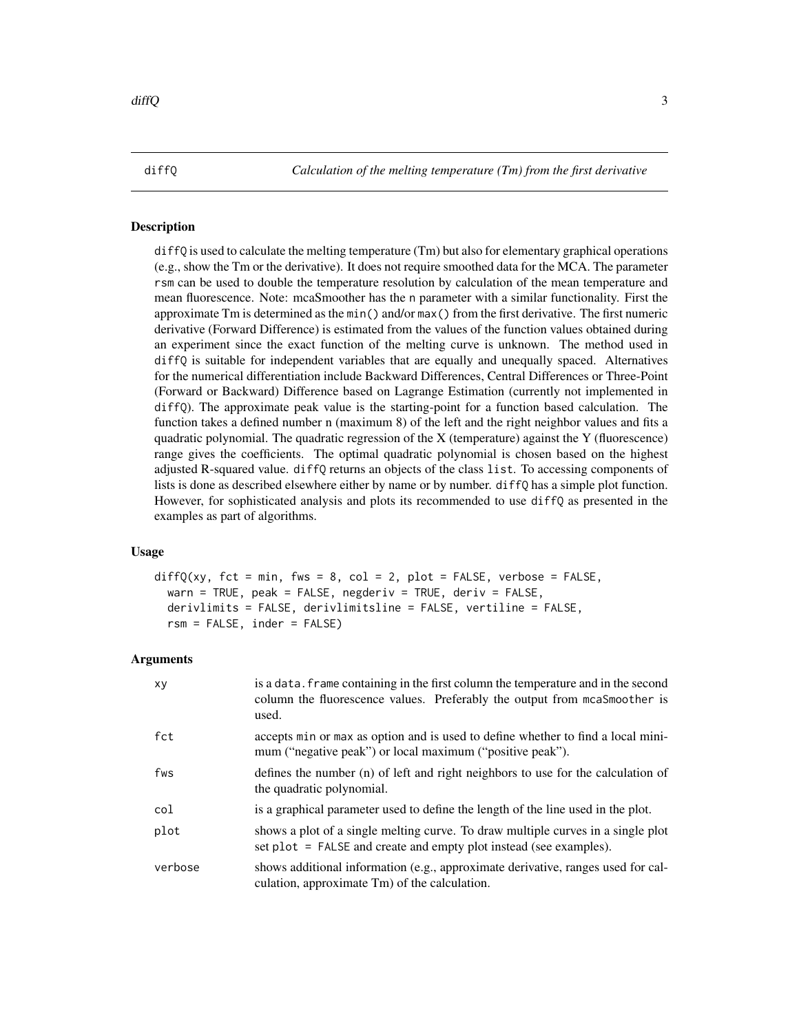<span id="page-2-1"></span><span id="page-2-0"></span>diffQ *Calculation of the melting temperature (Tm) from the first derivative*

#### **Description**

diffQ is used to calculate the melting temperature (Tm) but also for elementary graphical operations (e.g., show the Tm or the derivative). It does not require smoothed data for the MCA. The parameter rsm can be used to double the temperature resolution by calculation of the mean temperature and mean fluorescence. Note: mcaSmoother has the n parameter with a similar functionality. First the approximate Tm is determined as the min() and/or max() from the first derivative. The first numeric derivative (Forward Difference) is estimated from the values of the function values obtained during an experiment since the exact function of the melting curve is unknown. The method used in diffQ is suitable for independent variables that are equally and unequally spaced. Alternatives for the numerical differentiation include Backward Differences, Central Differences or Three-Point (Forward or Backward) Difference based on Lagrange Estimation (currently not implemented in diffQ). The approximate peak value is the starting-point for a function based calculation. The function takes a defined number n (maximum 8) of the left and the right neighbor values and fits a quadratic polynomial. The quadratic regression of the  $X$  (temperature) against the  $Y$  (fluorescence) range gives the coefficients. The optimal quadratic polynomial is chosen based on the highest adjusted R-squared value. diffQ returns an objects of the class list. To accessing components of lists is done as described elsewhere either by name or by number. diffQ has a simple plot function. However, for sophisticated analysis and plots its recommended to use diffQ as presented in the examples as part of algorithms.

## Usage

 $diffQ(xy, fct = min, fws = 8, col = 2, plot = FALSE, verbose = FALSE,$ warn = TRUE, peak = FALSE, negderiv = TRUE, deriv = FALSE, derivlimits = FALSE, derivlimitsline = FALSE, vertiline = FALSE, rsm = FALSE, inder = FALSE)

# Arguments

| xy      | is a data, frame containing in the first column the temperature and in the second<br>column the fluorescence values. Preferably the output from mcaSmoother is<br>used. |
|---------|-------------------------------------------------------------------------------------------------------------------------------------------------------------------------|
| fct     | accepts min or max as option and is used to define whether to find a local mini-<br>mum ("negative peak") or local maximum ("positive peak").                           |
| fws     | defines the number (n) of left and right neighbors to use for the calculation of<br>the quadratic polynomial.                                                           |
| col     | is a graphical parameter used to define the length of the line used in the plot.                                                                                        |
| plot    | shows a plot of a single melting curve. To draw multiple curves in a single plot<br>set plot = FALSE and create and empty plot instead (see examples).                  |
| verbose | shows additional information (e.g., approximate derivative, ranges used for cal-<br>culation, approximate Tm) of the calculation.                                       |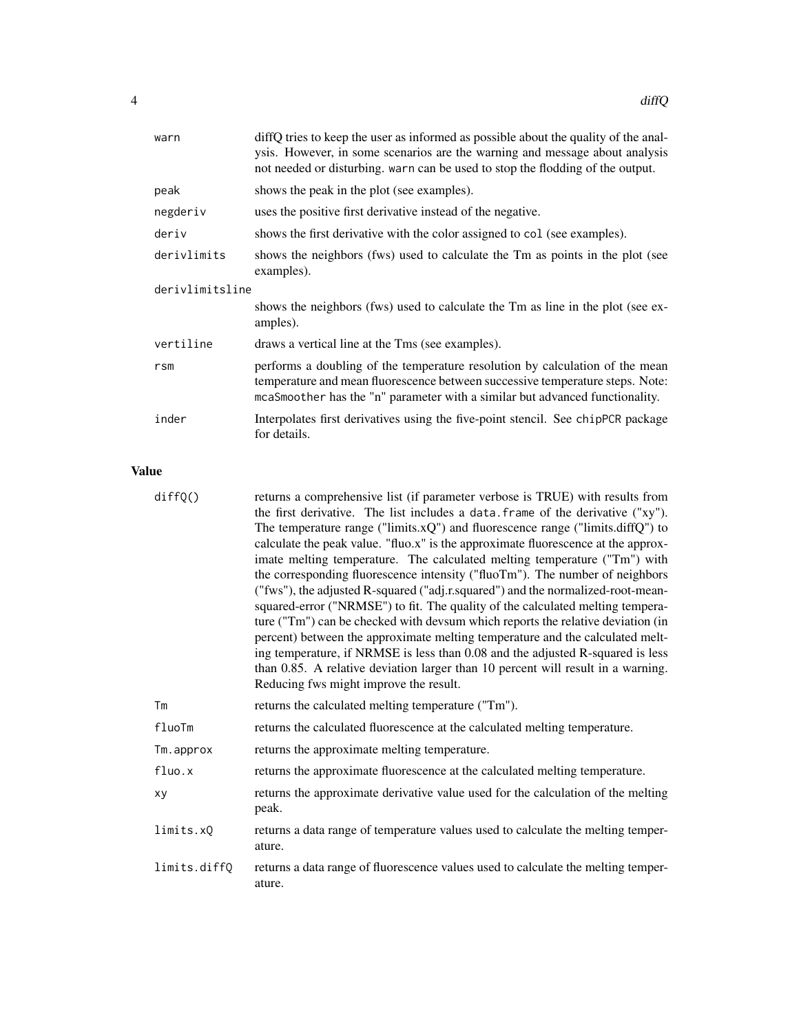| warn            | diffQ tries to keep the user as informed as possible about the quality of the anal-<br>ysis. However, in some scenarios are the warning and message about analysis<br>not needed or disturbing, warn can be used to stop the flodding of the output. |  |
|-----------------|------------------------------------------------------------------------------------------------------------------------------------------------------------------------------------------------------------------------------------------------------|--|
| peak            | shows the peak in the plot (see examples).                                                                                                                                                                                                           |  |
| negderiv        | uses the positive first derivative instead of the negative.                                                                                                                                                                                          |  |
| deriv           | shows the first derivative with the color assigned to col (see examples).                                                                                                                                                                            |  |
| derivlimits     | shows the neighbors (fws) used to calculate the Tm as points in the plot (see<br>examples).                                                                                                                                                          |  |
| derivlimitsline |                                                                                                                                                                                                                                                      |  |
|                 | shows the neighbors (fws) used to calculate the Tm as line in the plot (see ex-<br>amples).                                                                                                                                                          |  |
| vertiline       | draws a vertical line at the Tms (see examples).                                                                                                                                                                                                     |  |
| r <sub>sm</sub> | performs a doubling of the temperature resolution by calculation of the mean<br>temperature and mean fluorescence between successive temperature steps. Note:<br>mcaSmoother has the "n" parameter with a similar but advanced functionality.        |  |
| inder           | Interpolates first derivatives using the five-point stencil. See chipPCR package<br>for details.                                                                                                                                                     |  |

# Value

| diffQ()      | returns a comprehensive list (if parameter verbose is TRUE) with results from<br>the first derivative. The list includes a data. frame of the derivative ("xy"). |
|--------------|------------------------------------------------------------------------------------------------------------------------------------------------------------------|
|              | The temperature range ("limits.xQ") and fluorescence range ("limits.diffQ") to                                                                                   |
|              | calculate the peak value. "fluo.x" is the approximate fluorescence at the approx-                                                                                |
|              | imate melting temperature. The calculated melting temperature ("Tm") with                                                                                        |
|              | the corresponding fluorescence intensity ("fluoTm"). The number of neighbors                                                                                     |
|              | ("fws"), the adjusted R-squared ("adj.r.squared") and the normalized-root-mean-                                                                                  |
|              | squared-error ("NRMSE") to fit. The quality of the calculated melting tempera-                                                                                   |
|              | ture ("Tm") can be checked with devsum which reports the relative deviation (in                                                                                  |
|              | percent) between the approximate melting temperature and the calculated melt-                                                                                    |
|              | ing temperature, if NRMSE is less than 0.08 and the adjusted R-squared is less                                                                                   |
|              | than 0.85. A relative deviation larger than 10 percent will result in a warning.                                                                                 |
|              | Reducing fws might improve the result.                                                                                                                           |
| Tm           | returns the calculated melting temperature ("Tm").                                                                                                               |
| fluoTm       | returns the calculated fluorescence at the calculated melting temperature.                                                                                       |
| Tm.approx    | returns the approximate melting temperature.                                                                                                                     |
| fluo.x       | returns the approximate fluorescence at the calculated melting temperature.                                                                                      |
| xy           | returns the approximate derivative value used for the calculation of the melting<br>peak.                                                                        |
| limits.xQ    | returns a data range of temperature values used to calculate the melting temper-<br>ature.                                                                       |
| limits.diffQ | returns a data range of fluorescence values used to calculate the melting temper-<br>ature.                                                                      |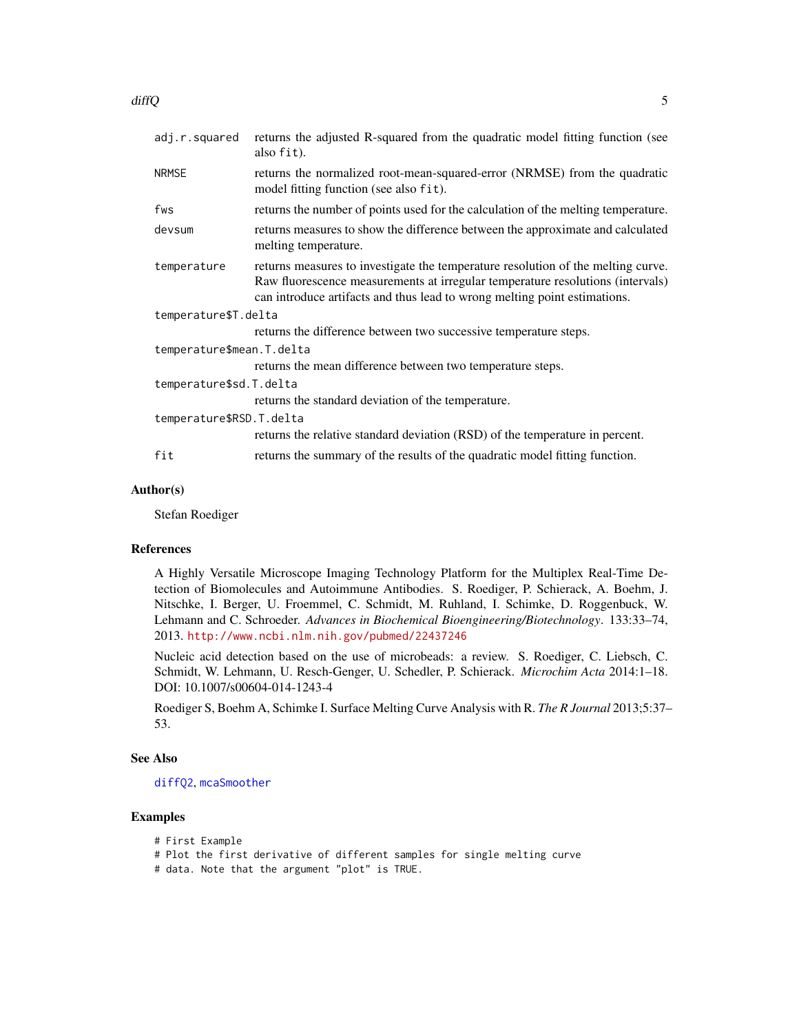<span id="page-4-0"></span>

| <b>NRMSE</b><br>model fitting function (see also fit).<br>fws<br>devsum<br>melting temperature.<br>temperature<br>can introduce artifacts and thus lead to wrong melting point estimations.<br>temperature\$T.delta<br>returns the difference between two successive temperature steps.<br>temperature\$mean.T.delta<br>returns the mean difference between two temperature steps.<br>temperature\$sd.T.delta<br>returns the standard deviation of the temperature.<br>temperature\$RSD.T.delta | adj.r.squared | returns the adjusted R-squared from the quadratic model fitting function (see<br>also fit).                                                                        |
|-------------------------------------------------------------------------------------------------------------------------------------------------------------------------------------------------------------------------------------------------------------------------------------------------------------------------------------------------------------------------------------------------------------------------------------------------------------------------------------------------|---------------|--------------------------------------------------------------------------------------------------------------------------------------------------------------------|
|                                                                                                                                                                                                                                                                                                                                                                                                                                                                                                 |               | returns the normalized root-mean-squared-error (NRMSE) from the quadratic                                                                                          |
|                                                                                                                                                                                                                                                                                                                                                                                                                                                                                                 |               | returns the number of points used for the calculation of the melting temperature.                                                                                  |
|                                                                                                                                                                                                                                                                                                                                                                                                                                                                                                 |               | returns measures to show the difference between the approximate and calculated                                                                                     |
|                                                                                                                                                                                                                                                                                                                                                                                                                                                                                                 |               | returns measures to investigate the temperature resolution of the melting curve.<br>Raw fluorescence measurements at irregular temperature resolutions (intervals) |
|                                                                                                                                                                                                                                                                                                                                                                                                                                                                                                 |               |                                                                                                                                                                    |
|                                                                                                                                                                                                                                                                                                                                                                                                                                                                                                 |               |                                                                                                                                                                    |
|                                                                                                                                                                                                                                                                                                                                                                                                                                                                                                 |               |                                                                                                                                                                    |
|                                                                                                                                                                                                                                                                                                                                                                                                                                                                                                 |               |                                                                                                                                                                    |
|                                                                                                                                                                                                                                                                                                                                                                                                                                                                                                 |               |                                                                                                                                                                    |
|                                                                                                                                                                                                                                                                                                                                                                                                                                                                                                 |               |                                                                                                                                                                    |
|                                                                                                                                                                                                                                                                                                                                                                                                                                                                                                 |               |                                                                                                                                                                    |
|                                                                                                                                                                                                                                                                                                                                                                                                                                                                                                 |               | returns the relative standard deviation (RSD) of the temperature in percent.                                                                                       |
| fit<br>returns the summary of the results of the quadratic model fitting function.                                                                                                                                                                                                                                                                                                                                                                                                              |               |                                                                                                                                                                    |

# Author(s)

Stefan Roediger

### References

A Highly Versatile Microscope Imaging Technology Platform for the Multiplex Real-Time Detection of Biomolecules and Autoimmune Antibodies. S. Roediger, P. Schierack, A. Boehm, J. Nitschke, I. Berger, U. Froemmel, C. Schmidt, M. Ruhland, I. Schimke, D. Roggenbuck, W. Lehmann and C. Schroeder. *Advances in Biochemical Bioengineering/Biotechnology*. 133:33–74, 2013. <http://www.ncbi.nlm.nih.gov/pubmed/22437246>

Nucleic acid detection based on the use of microbeads: a review. S. Roediger, C. Liebsch, C. Schmidt, W. Lehmann, U. Resch-Genger, U. Schedler, P. Schierack. *Microchim Acta* 2014:1–18. DOI: 10.1007/s00604-014-1243-4

Roediger S, Boehm A, Schimke I. Surface Melting Curve Analysis with R. *The R Journal* 2013;5:37– 53.

# See Also

# [diffQ2](#page-7-1), [mcaSmoother](#page-16-1)

# Examples

```
# First Example
# Plot the first derivative of different samples for single melting curve
# data. Note that the argument "plot" is TRUE.
```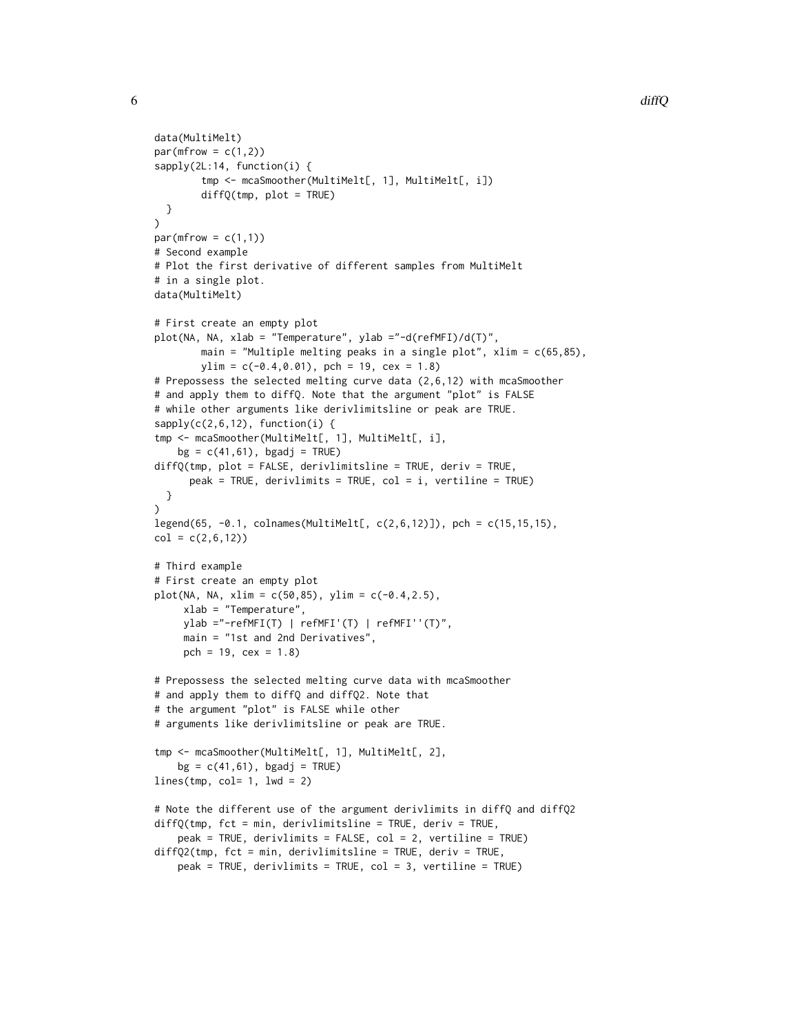```
data(MultiMelt)
par(mfrow = c(1,2))sapply(2L:14, function(i) {
        tmp <- mcaSmoother(MultiMelt[, 1], MultiMelt[, i])
        diffQ(tmp, plot = TRUE)
  }
\lambdapar(mfrow = c(1,1))# Second example
# Plot the first derivative of different samples from MultiMelt
# in a single plot.
data(MultiMelt)
# First create an empty plot
plot(NA, NA, xlab = "Temperature", ylab ="-d(refMFI)/d(T)",
        main = "Multiple melting peaks in a single plot", xlim = c(65,85),
        ylim = c(-0.4, 0.01), pch = 19, cex = 1.8)
# Prepossess the selected melting curve data (2,6,12) with mcaSmoother
# and apply them to diffQ. Note that the argument "plot" is FALSE
# while other arguments like derivlimitsline or peak are TRUE.
sapply(c(2,6,12), function(i)tmp <- mcaSmoother(MultiMelt[, 1], MultiMelt[, i],
   bg = c(41, 61), bgadj = TRUE)
diffQ(tmp, plot = FALSE, derivlimitsline = TRUE, deriv = TRUE,
      peak = TRUE, derivlimits = TRUE, col = i, vertiline = TRUE)
  }
\lambdalegend(65, -0.1, colnames(MultiMelt[, c(2,6,12)]), pch = c(15,15,15),
col = c(2, 6, 12)# Third example
# First create an empty plot
plot(NA, NA, xlim = c(50, 85), ylim = c(-0.4, 2.5),xlab = "Temperature",
     ylab ="-refMFI(T) | refMFI'(T) | refMFI''(T)",
     main = "1st and 2nd Derivatives",
     pch = 19, cex = 1.8)
# Prepossess the selected melting curve data with mcaSmoother
# and apply them to diffQ and diffQ2. Note that
# the argument "plot" is FALSE while other
# arguments like derivlimitsline or peak are TRUE.
tmp <- mcaSmoother(MultiMelt[, 1], MultiMelt[, 2],
    bg = c(41, 61), bgadj = TRUE)
lines(tmp, col= 1, lwd = 2)# Note the different use of the argument derivlimits in diffQ and diffQ2
diffQ(tmp, fct = min, derivlimitsline = TRUE, deriv = TRUE,peak = TRUE, derivlimits = FALSE, col = 2, vertiline = TRUE)
diffQ2(tmp, fct = min, derivlimitsline = TRUE, deriv = TRUE,
    peak = TRUE, derivlimits = TRUE, col = 3, vertiline = TRUE)
```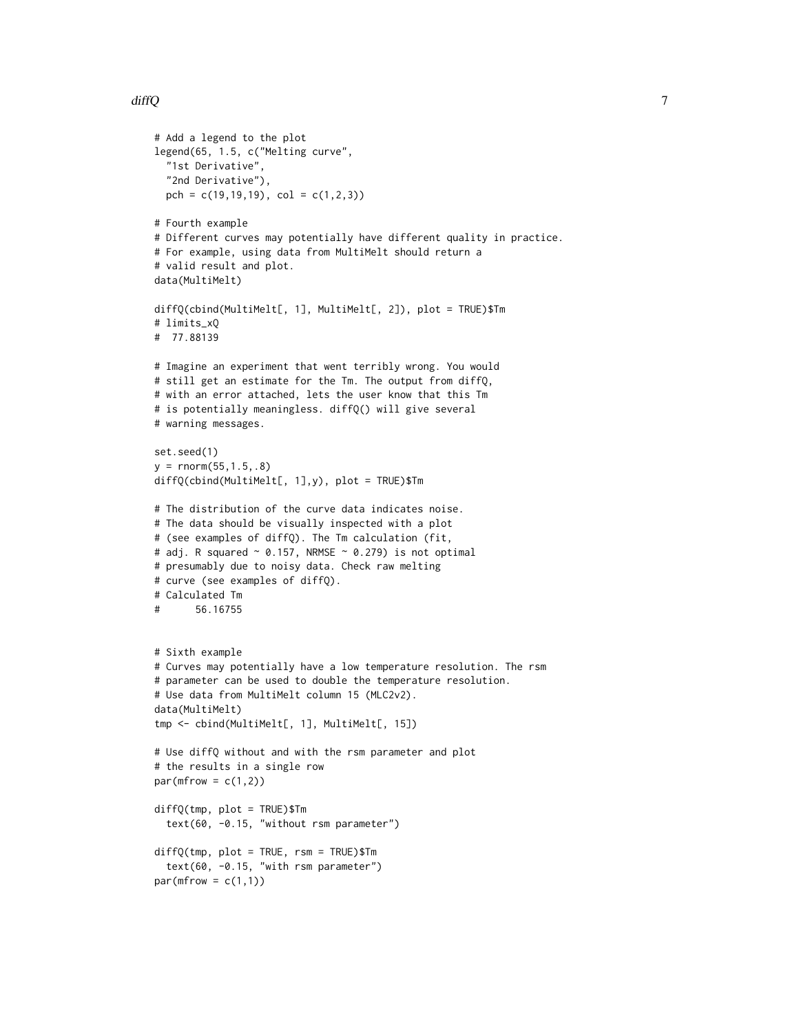```
# Add a legend to the plot
legend(65, 1.5, c("Melting curve",
  "1st Derivative",
  "2nd Derivative"),
  pch = c(19, 19, 19), col = c(1, 2, 3)# Fourth example
# Different curves may potentially have different quality in practice.
# For example, using data from MultiMelt should return a
# valid result and plot.
data(MultiMelt)
diffQ(cbind(MultiMelt[, 1], MultiMelt[, 2]), plot = TRUE)$Tm
# limits_xQ
# 77.88139
# Imagine an experiment that went terribly wrong. You would
# still get an estimate for the Tm. The output from diffQ,
# with an error attached, lets the user know that this Tm
# is potentially meaningless. diffQ() will give several
# warning messages.
set.seed(1)
y = rnorm(55, 1.5, .8)diffQ(cbind(MultiMelt[, 1],y), plot = TRUE)$Tm
# The distribution of the curve data indicates noise.
# The data should be visually inspected with a plot
# (see examples of diffQ). The Tm calculation (fit,
# adj. R squared \sim 0.157, NRMSE \sim 0.279) is not optimal
# presumably due to noisy data. Check raw melting
# curve (see examples of diffQ).
# Calculated Tm
# 56.16755
# Sixth example
# Curves may potentially have a low temperature resolution. The rsm
# parameter can be used to double the temperature resolution.
# Use data from MultiMelt column 15 (MLC2v2).
data(MultiMelt)
tmp <- cbind(MultiMelt[, 1], MultiMelt[, 15])
# Use diffQ without and with the rsm parameter and plot
# the results in a single row
par(mfrow = c(1,2))diffQ(tmp, plot = TRUE)$Tm
  text(60, -0.15, "without rsm parameter")
diffQ(tmp, plot = TRUE, rsm = TRUE)$Tm
  text(60, -0.15, "with rsm parameter")
par(mfrow = c(1,1))
```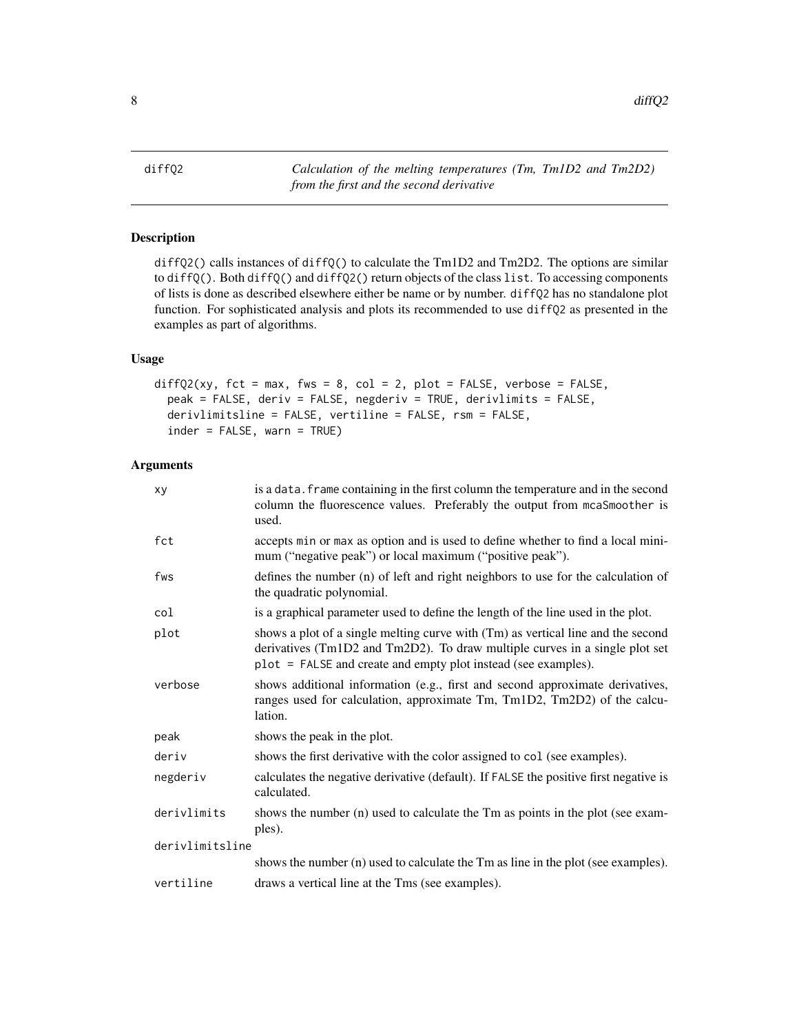<span id="page-7-0"></span> $8$  diff $Q2$ 

<span id="page-7-1"></span>diffQ2 *Calculation of the melting temperatures (Tm, Tm1D2 and Tm2D2) from the first and the second derivative*

# Description

diffQ2() calls instances of diffQ() to calculate the Tm1D2 and Tm2D2. The options are similar to diffQ(). Both diffQ() and diffQ2() return objects of the class list. To accessing components of lists is done as described elsewhere either be name or by number. diffQ2 has no standalone plot function. For sophisticated analysis and plots its recommended to use diffQ2 as presented in the examples as part of algorithms.

# Usage

```
diffQ2(xy, fct = max, fws = 8, col = 2, plot = FALSE, verbose = FALSE,peak = FALSE, deriv = FALSE, negderiv = TRUE, derivlimits = FALSE,
  derivlimitsline = FALSE, vertiline = FALSE, rsm = FALSE,
  index = FALSE, warn = TRUE
```
# Arguments

| xy              | is a data. frame containing in the first column the temperature and in the second<br>column the fluorescence values. Preferably the output from mcaSmoother is<br>used.                                                           |
|-----------------|-----------------------------------------------------------------------------------------------------------------------------------------------------------------------------------------------------------------------------------|
| fct             | accepts min or max as option and is used to define whether to find a local mini-<br>mum ("negative peak") or local maximum ("positive peak").                                                                                     |
| fws             | defines the number (n) of left and right neighbors to use for the calculation of<br>the quadratic polynomial.                                                                                                                     |
| col             | is a graphical parameter used to define the length of the line used in the plot.                                                                                                                                                  |
| plot            | shows a plot of a single melting curve with (Tm) as vertical line and the second<br>derivatives (Tm1D2 and Tm2D2). To draw multiple curves in a single plot set<br>plot = FALSE and create and empty plot instead (see examples). |
| verbose         | shows additional information (e.g., first and second approximate derivatives,<br>ranges used for calculation, approximate Tm, Tm1D2, Tm2D2) of the calcu-<br>lation.                                                              |
| peak            | shows the peak in the plot.                                                                                                                                                                                                       |
| deriv           | shows the first derivative with the color assigned to col (see examples).                                                                                                                                                         |
| negderiv        | calculates the negative derivative (default). If FALSE the positive first negative is<br>calculated.                                                                                                                              |
| derivlimits     | shows the number (n) used to calculate the Tm as points in the plot (see exam-<br>ples).                                                                                                                                          |
| derivlimitsline |                                                                                                                                                                                                                                   |
|                 | shows the number (n) used to calculate the Tm as line in the plot (see examples).                                                                                                                                                 |
| vertiline       | draws a vertical line at the Tms (see examples).                                                                                                                                                                                  |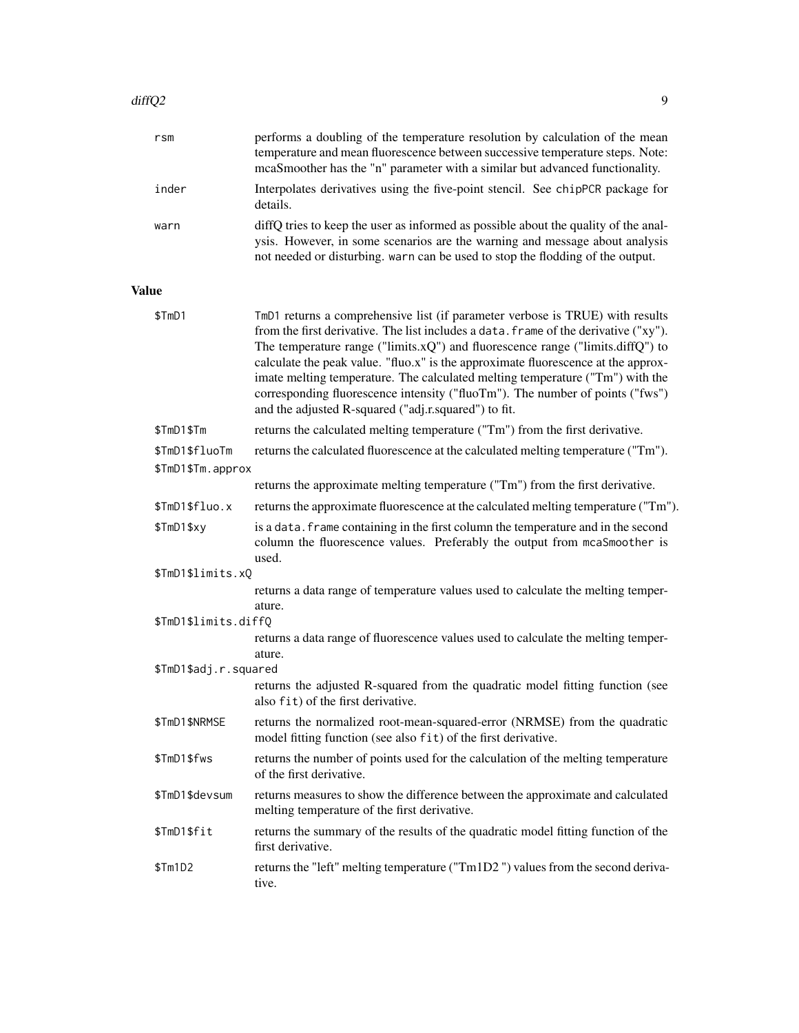|              | rsm                                 | performs a doubling of the temperature resolution by calculation of the mean<br>temperature and mean fluorescence between successive temperature steps. Note:<br>mcaSmoother has the "n" parameter with a similar but advanced functionality.                                                                                                                                                                                                                                                                                                                                  |
|--------------|-------------------------------------|--------------------------------------------------------------------------------------------------------------------------------------------------------------------------------------------------------------------------------------------------------------------------------------------------------------------------------------------------------------------------------------------------------------------------------------------------------------------------------------------------------------------------------------------------------------------------------|
|              | inder                               | Interpolates derivatives using the five-point stencil. See chipPCR package for<br>details.                                                                                                                                                                                                                                                                                                                                                                                                                                                                                     |
|              | warn                                | diffQ tries to keep the user as informed as possible about the quality of the anal-<br>ysis. However, in some scenarios are the warning and message about analysis<br>not needed or disturbing. warn can be used to stop the flodding of the output.                                                                                                                                                                                                                                                                                                                           |
| <b>Value</b> |                                     |                                                                                                                                                                                                                                                                                                                                                                                                                                                                                                                                                                                |
|              | \$TmD1                              | TmD1 returns a comprehensive list (if parameter verbose is TRUE) with results<br>from the first derivative. The list includes a data. frame of the derivative ("xy").<br>The temperature range ("limits.x $Q$ ") and fluorescence range ("limits.diff $Q$ ") to<br>calculate the peak value. "fluo.x" is the approximate fluorescence at the approx-<br>imate melting temperature. The calculated melting temperature ("Tm") with the<br>corresponding fluorescence intensity ("fluoTm"). The number of points ("fws")<br>and the adjusted R-squared ("adj.r.squared") to fit. |
|              | \$TmD1\$Tm                          | returns the calculated melting temperature ("Tm") from the first derivative.                                                                                                                                                                                                                                                                                                                                                                                                                                                                                                   |
|              | \$TmD1\$fluoTm<br>\$TmD1\$Tm.approx | returns the calculated fluorescence at the calculated melting temperature ("Tm").                                                                                                                                                                                                                                                                                                                                                                                                                                                                                              |
|              |                                     | returns the approximate melting temperature ("Tm") from the first derivative.                                                                                                                                                                                                                                                                                                                                                                                                                                                                                                  |
|              | \$TmD1\$fluo.x                      | returns the approximate fluorescence at the calculated melting temperature ("Tm").                                                                                                                                                                                                                                                                                                                                                                                                                                                                                             |
|              | \$TmD1\$xy                          | is a data. frame containing in the first column the temperature and in the second<br>column the fluorescence values. Preferably the output from mcaSmoother is<br>used.                                                                                                                                                                                                                                                                                                                                                                                                        |
|              | \$TmD1\$limits.xQ                   |                                                                                                                                                                                                                                                                                                                                                                                                                                                                                                                                                                                |
|              |                                     | returns a data range of temperature values used to calculate the melting temper-<br>ature.                                                                                                                                                                                                                                                                                                                                                                                                                                                                                     |
|              | \$TmD1\$limits.diffQ                | returns a data range of fluorescence values used to calculate the melting temper-<br>ature.                                                                                                                                                                                                                                                                                                                                                                                                                                                                                    |
|              | \$TmD1\$adj.r.squared               |                                                                                                                                                                                                                                                                                                                                                                                                                                                                                                                                                                                |
|              |                                     | returns the adjusted R-squared from the quadratic model fitting function (see<br>also fit) of the first derivative.                                                                                                                                                                                                                                                                                                                                                                                                                                                            |
|              | \$TmD1\$NRMSE                       | returns the normalized root-mean-squared-error (NRMSE) from the quadratic<br>model fitting function (see also fit) of the first derivative.                                                                                                                                                                                                                                                                                                                                                                                                                                    |
|              | \$TmD1\$fws                         | returns the number of points used for the calculation of the melting temperature<br>of the first derivative.                                                                                                                                                                                                                                                                                                                                                                                                                                                                   |
|              | \$TmD1\$devsum                      | returns measures to show the difference between the approximate and calculated<br>melting temperature of the first derivative.                                                                                                                                                                                                                                                                                                                                                                                                                                                 |
|              | \$TmD1\$fit                         | returns the summary of the results of the quadratic model fitting function of the<br>first derivative.                                                                                                                                                                                                                                                                                                                                                                                                                                                                         |
|              | \$Tm1D2                             | returns the "left" melting temperature ("Tm1D2") values from the second deriva-<br>tive.                                                                                                                                                                                                                                                                                                                                                                                                                                                                                       |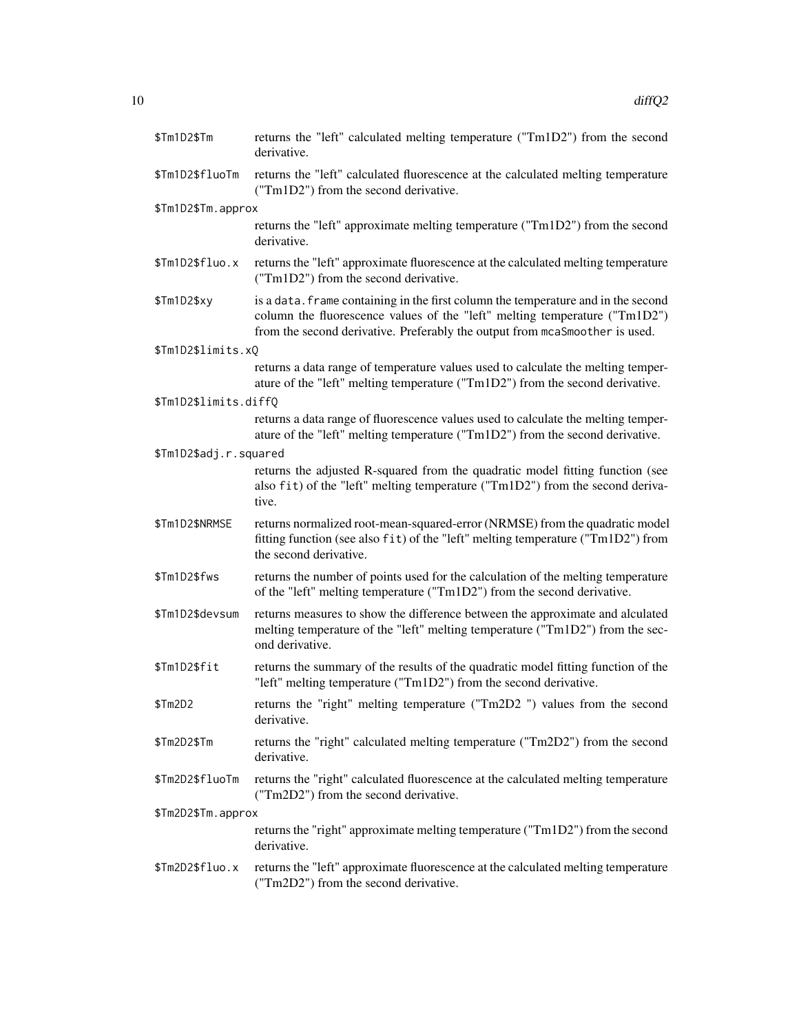| \$Tm1D2\$Tm            | returns the "left" calculated melting temperature ("Tm1D2") from the second<br>derivative.                                                                                                                                                     |
|------------------------|------------------------------------------------------------------------------------------------------------------------------------------------------------------------------------------------------------------------------------------------|
| \$Tm1D2\$fluoTm        | returns the "left" calculated fluorescence at the calculated melting temperature<br>("Tm1D2") from the second derivative.                                                                                                                      |
| \$Tm1D2\$Tm.approx     |                                                                                                                                                                                                                                                |
|                        | returns the "left" approximate melting temperature ("Tm1D2") from the second<br>derivative.                                                                                                                                                    |
| \$Tm1D2\$fluo.x        | returns the "left" approximate fluorescence at the calculated melting temperature<br>("Tm1D2") from the second derivative.                                                                                                                     |
| \$Tm1D2\$xy            | is a data. frame containing in the first column the temperature and in the second<br>column the fluorescence values of the "left" melting temperature ("Tm1D2")<br>from the second derivative. Preferably the output from mcaSmoother is used. |
| \$Tm1D2\$limits.xQ     |                                                                                                                                                                                                                                                |
|                        | returns a data range of temperature values used to calculate the melting temper-<br>ature of the "left" melting temperature ("Tm1D2") from the second derivative.                                                                              |
| \$Tm1D2\$limits.diffQ  |                                                                                                                                                                                                                                                |
|                        | returns a data range of fluorescence values used to calculate the melting temper-<br>ature of the "left" melting temperature ("Tm1D2") from the second derivative.                                                                             |
| \$Tm1D2\$adj.r.squared |                                                                                                                                                                                                                                                |
|                        | returns the adjusted R-squared from the quadratic model fitting function (see<br>also fit) of the "left" melting temperature ("Tm1D2") from the second deriva-<br>tive.                                                                        |
| \$Tm1D2\$NRMSE         | returns normalized root-mean-squared-error (NRMSE) from the quadratic model<br>fitting function (see also fit) of the "left" melting temperature ("Tm1D2") from<br>the second derivative.                                                      |
| \$Tm1D2\$fws           | returns the number of points used for the calculation of the melting temperature<br>of the "left" melting temperature ("Tm1D2") from the second derivative.                                                                                    |
| \$Tm1D2\$devsum        | returns measures to show the difference between the approximate and alculated<br>melting temperature of the "left" melting temperature ("Tm1D2") from the sec-<br>ond derivative.                                                              |
| \$Tm1D2\$fit           | returns the summary of the results of the quadratic model fitting function of the<br>"left" melting temperature ("Tm1D2") from the second derivative.                                                                                          |
| \$Tm2D2                | returns the "right" melting temperature ("Tm2D2") values from the second<br>derivative.                                                                                                                                                        |
| \$Tm2D2\$Tm            | returns the "right" calculated melting temperature ("Tm2D2") from the second<br>derivative.                                                                                                                                                    |
| \$Tm2D2\$fluoTm        | returns the "right" calculated fluorescence at the calculated melting temperature<br>("Tm2D2") from the second derivative.                                                                                                                     |
| \$Tm2D2\$Tm.approx     |                                                                                                                                                                                                                                                |
|                        | returns the "right" approximate melting temperature ("Tm1D2") from the second                                                                                                                                                                  |
|                        | derivative.                                                                                                                                                                                                                                    |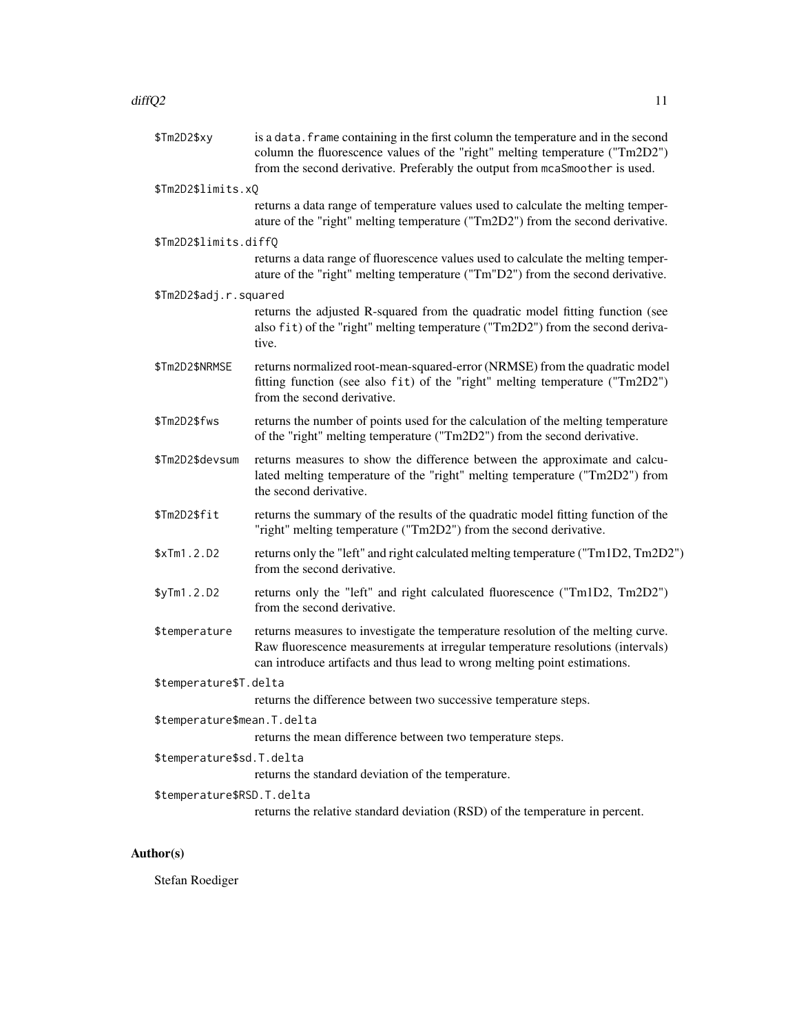## $\text{diffQ2}$  11

| \$Tm2D2\$xy                 | is a data. frame containing in the first column the temperature and in the second<br>column the fluorescence values of the "right" melting temperature ("Tm2D2")<br>from the second derivative. Preferably the output from mcaSmoother is used. |
|-----------------------------|-------------------------------------------------------------------------------------------------------------------------------------------------------------------------------------------------------------------------------------------------|
| \$Tm2D2\$limits.xQ          |                                                                                                                                                                                                                                                 |
|                             | returns a data range of temperature values used to calculate the melting temper-<br>ature of the "right" melting temperature ("Tm2D2") from the second derivative.                                                                              |
| \$Tm2D2\$limits.diffQ       |                                                                                                                                                                                                                                                 |
|                             | returns a data range of fluorescence values used to calculate the melting temper-<br>ature of the "right" melting temperature ("Tm"D2") from the second derivative.                                                                             |
| \$Tm2D2\$adj.r.squared      |                                                                                                                                                                                                                                                 |
|                             | returns the adjusted R-squared from the quadratic model fitting function (see<br>also fit) of the "right" melting temperature ("Tm2D2") from the second deriva-<br>tive.                                                                        |
| \$Tm2D2\$NRMSE              | returns normalized root-mean-squared-error (NRMSE) from the quadratic model<br>fitting function (see also fit) of the "right" melting temperature ("Tm2D2")<br>from the second derivative.                                                      |
| \$Tm2D2\$fws                | returns the number of points used for the calculation of the melting temperature<br>of the "right" melting temperature ("Tm2D2") from the second derivative.                                                                                    |
| \$Tm2D2\$devsum             | returns measures to show the difference between the approximate and calcu-<br>lated melting temperature of the "right" melting temperature ("Tm2D2") from<br>the second derivative.                                                             |
| \$Tm2D2\$fit                | returns the summary of the results of the quadratic model fitting function of the<br>"right" melting temperature ("Tm2D2") from the second derivative.                                                                                          |
| \$xTm1.2.D2                 | returns only the "left" and right calculated melting temperature ("Tm1D2, Tm2D2")<br>from the second derivative.                                                                                                                                |
| \$yTm1.2.D2                 | returns only the "left" and right calculated fluorescence ("Tm1D2, Tm2D2")<br>from the second derivative.                                                                                                                                       |
| \$temperature               | returns measures to investigate the temperature resolution of the melting curve.<br>Raw fluorescence measurements at irregular temperature resolutions (intervals)<br>can introduce artifacts and thus lead to wrong melting point estimations. |
| \$temperature\$T.delta      |                                                                                                                                                                                                                                                 |
|                             | returns the difference between two successive temperature steps.                                                                                                                                                                                |
| \$temperature\$mean.T.delta |                                                                                                                                                                                                                                                 |
|                             | returns the mean difference between two temperature steps.                                                                                                                                                                                      |
| \$temperature\$sd.T.delta   | returns the standard deviation of the temperature.                                                                                                                                                                                              |
| \$temperature\$RSD.T.delta  | returns the relative standard deviation (RSD) of the temperature in percent.                                                                                                                                                                    |

# Author(s)

Stefan Roediger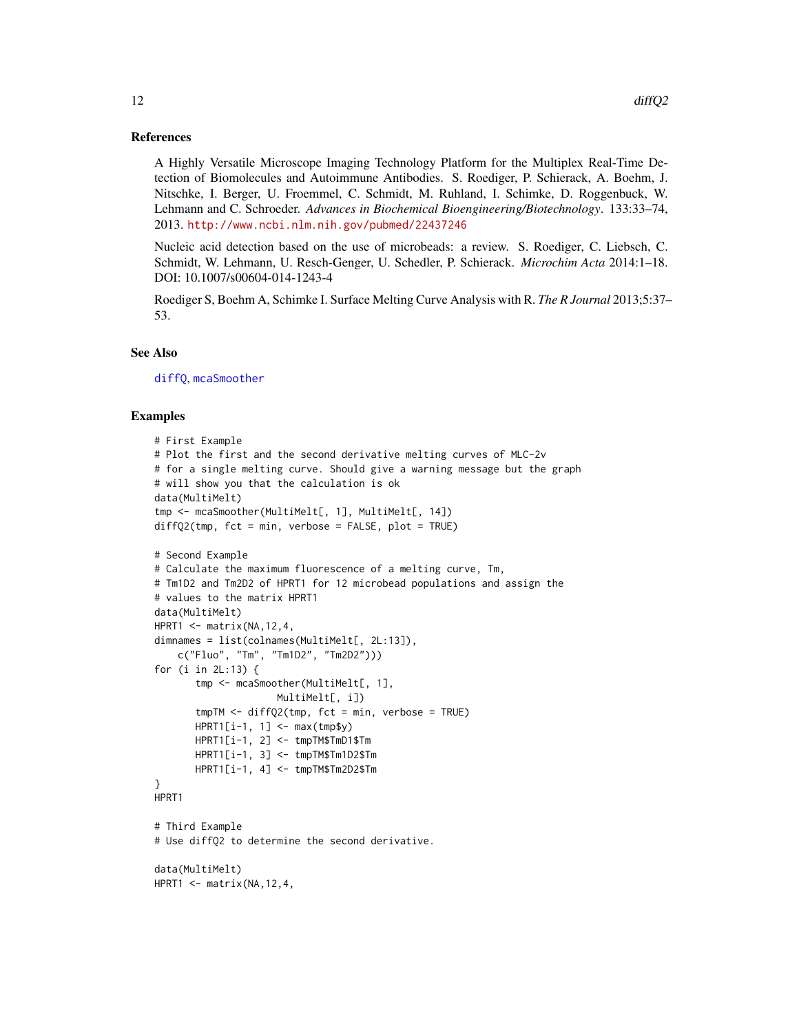## <span id="page-11-0"></span>References

A Highly Versatile Microscope Imaging Technology Platform for the Multiplex Real-Time Detection of Biomolecules and Autoimmune Antibodies. S. Roediger, P. Schierack, A. Boehm, J. Nitschke, I. Berger, U. Froemmel, C. Schmidt, M. Ruhland, I. Schimke, D. Roggenbuck, W. Lehmann and C. Schroeder. *Advances in Biochemical Bioengineering/Biotechnology*. 133:33–74, 2013. <http://www.ncbi.nlm.nih.gov/pubmed/22437246>

Nucleic acid detection based on the use of microbeads: a review. S. Roediger, C. Liebsch, C. Schmidt, W. Lehmann, U. Resch-Genger, U. Schedler, P. Schierack. *Microchim Acta* 2014:1–18. DOI: 10.1007/s00604-014-1243-4

Roediger S, Boehm A, Schimke I. Surface Melting Curve Analysis with R. *The R Journal* 2013;5:37– 53.

# See Also

[diffQ](#page-2-1), [mcaSmoother](#page-16-1)

# Examples

```
# First Example
# Plot the first and the second derivative melting curves of MLC-2v
# for a single melting curve. Should give a warning message but the graph
# will show you that the calculation is ok
data(MultiMelt)
tmp <- mcaSmoother(MultiMelt[, 1], MultiMelt[, 14])
diffQ2(tmp, fct = min, verbose = FALSE, plot = TRUE)# Second Example
# Calculate the maximum fluorescence of a melting curve, Tm,
# Tm1D2 and Tm2D2 of HPRT1 for 12 microbead populations and assign the
# values to the matrix HPRT1
data(MultiMelt)
HPRT1 \leq- matrix(NA, 12, 4,
dimnames = list(colnames(MultiMelt[, 2L:13]),
   c("Fluo", "Tm", "Tm1D2", "Tm2D2")))
for (i in 2L:13) {
       tmp <- mcaSmoother(MultiMelt[, 1],
                     MultiMelt[, i])
       tmpTM < - diffQ2(tmp, fct = min, verbose = TRUE)
       HPRT1[i-1, 1] < - max(tmp$y)
       HPRT1[i-1, 2] <- tmpTM$TmD1$Tm
       HPRT1[i-1, 3] <- tmpTM$Tm1D2$Tm
       HPRT1[i-1, 4] <- tmpTM$Tm2D2$Tm
}
HPRT1
# Third Example
# Use diffQ2 to determine the second derivative.
data(MultiMelt)
HPRT1 <- matrix(NA,12,4,
```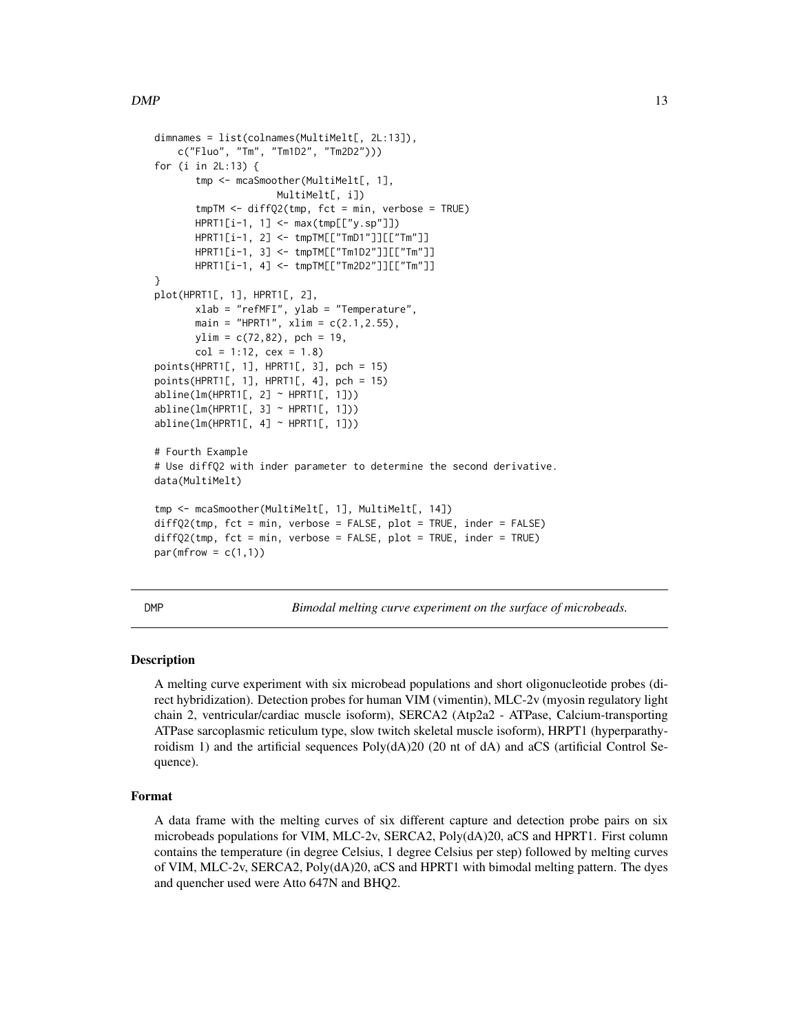```
dimnames = list(colnames(MultiMelt[, 2L:13]),
   c("Fluo", "Tm", "Tm1D2", "Tm2D2")))
for (i in 2L:13) {
       tmp <- mcaSmoother(MultiMelt[, 1],
                     MultiMelt[, i])
       tmpTM < - diffQ2(tmp, fct = min, verbose = TRUE)HPRT1[i-1, 1] <- max(tmp[["y.sp"]])
       HPRT1[i-1, 2] <- tmpTM[["TmD1"]][["Tm"]]
       HPRT1[i-1, 3] <- tmpTM[["Tm1D2"]][["Tm"]]
       HPRT1[i-1, 4] <- tmpTM[["Tm2D2"]][["Tm"]]
}
plot(HPRT1[, 1], HPRT1[, 2],
       xlab = "refMFI", ylab = "Temperature",
       main = "HPRT1", xlim = c(2.1, 2.55),
       ylim = c(72, 82), pch = 19,
       col = 1:12, cex = 1.8points(HPRT1[, 1], HPRT1[, 3], pch = 15)
points(HPRT1[, 1], HPRT1[, 4], pch = 15)
abline(lm(HPRT1[, 2] \sim HPRT1[, 1])abline(lm(HPRT1[, 3] \sim HPRT1[, 1])abline(lm(HPRT1[, 4] \sim HPRT1[, 1]))# Fourth Example
# Use diffQ2 with inder parameter to determine the second derivative.
data(MultiMelt)
tmp <- mcaSmoother(MultiMelt[, 1], MultiMelt[, 14])
diffQ2(tmp, fct = min, verbose = FALSE, plot = TRUE, inder = FALSE)
diffQ2(tmp, fct = min, verbose = FALSE, plot = TRUE, inder = TRUE)
par(mfrow = c(1,1))
```
<span id="page-12-1"></span>

DMP *Bimodal melting curve experiment on the surface of microbeads.*

# Description

A melting curve experiment with six microbead populations and short oligonucleotide probes (direct hybridization). Detection probes for human VIM (vimentin), MLC-2v (myosin regulatory light chain 2, ventricular/cardiac muscle isoform), SERCA2 (Atp2a2 - ATPase, Calcium-transporting ATPase sarcoplasmic reticulum type, slow twitch skeletal muscle isoform), HRPT1 (hyperparathyroidism 1) and the artificial sequences Poly(dA)20 (20 nt of dA) and aCS (artificial Control Sequence).

# Format

A data frame with the melting curves of six different capture and detection probe pairs on six microbeads populations for VIM, MLC-2v, SERCA2, Poly(dA)20, aCS and HPRT1. First column contains the temperature (in degree Celsius, 1 degree Celsius per step) followed by melting curves of VIM, MLC-2v, SERCA2, Poly(dA)20, aCS and HPRT1 with bimodal melting pattern. The dyes and quencher used were Atto 647N and BHQ2.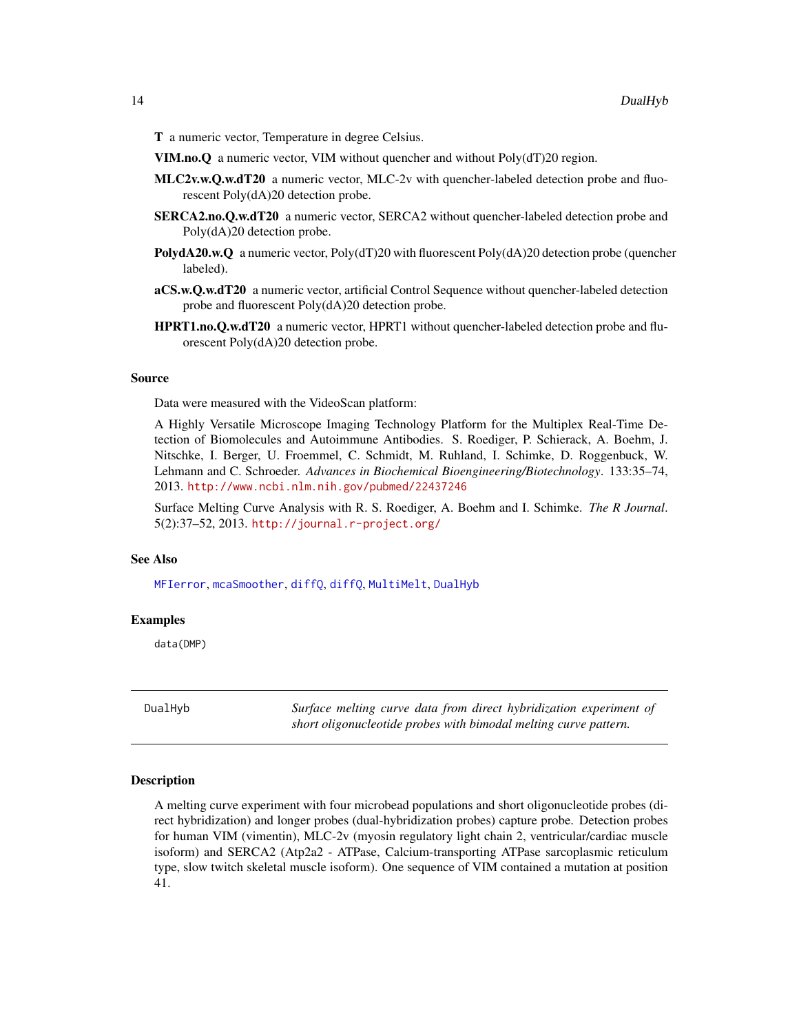<span id="page-13-0"></span>T a numeric vector, Temperature in degree Celsius.

VIM.no.Q a numeric vector, VIM without quencher and without Poly(dT)20 region.

- MLC2v.w.Q.w.dT20 a numeric vector, MLC-2v with quencher-labeled detection probe and fluorescent Poly(dA)20 detection probe.
- SERCA2.no.Q.w.dT20 a numeric vector, SERCA2 without quencher-labeled detection probe and Poly(dA)20 detection probe.
- **PolydA20.w.Q** a numeric vector, Poly( $dT$ )20 with fluorescent Poly( $dA$ )20 detection probe (quencher labeled).
- aCS.w.Q.w.dT20 a numeric vector, artificial Control Sequence without quencher-labeled detection probe and fluorescent Poly(dA)20 detection probe.
- HPRT1.no.Q.w.dT20 a numeric vector, HPRT1 without quencher-labeled detection probe and fluorescent Poly(dA)20 detection probe.

#### Source

Data were measured with the VideoScan platform:

A Highly Versatile Microscope Imaging Technology Platform for the Multiplex Real-Time Detection of Biomolecules and Autoimmune Antibodies. S. Roediger, P. Schierack, A. Boehm, J. Nitschke, I. Berger, U. Froemmel, C. Schmidt, M. Ruhland, I. Schimke, D. Roggenbuck, W. Lehmann and C. Schroeder. *Advances in Biochemical Bioengineering/Biotechnology*. 133:35–74, 2013. <http://www.ncbi.nlm.nih.gov/pubmed/22437246>

Surface Melting Curve Analysis with R. S. Roediger, A. Boehm and I. Schimke. *The R Journal*. 5(2):37–52, 2013. <http://journal.r-project.org/>

# See Also

[MFIerror](#page-21-1), [mcaSmoother](#page-16-1), [diffQ](#page-2-1), [diffQ](#page-2-1), [MultiMelt](#page-22-1), [DualHyb](#page-13-1)

#### Examples

data(DMP)

<span id="page-13-1"></span>DualHyb *Surface melting curve data from direct hybridization experiment of short oligonucleotide probes with bimodal melting curve pattern.*

#### Description

A melting curve experiment with four microbead populations and short oligonucleotide probes (direct hybridization) and longer probes (dual-hybridization probes) capture probe. Detection probes for human VIM (vimentin), MLC-2v (myosin regulatory light chain 2, ventricular/cardiac muscle isoform) and SERCA2 (Atp2a2 - ATPase, Calcium-transporting ATPase sarcoplasmic reticulum type, slow twitch skeletal muscle isoform). One sequence of VIM contained a mutation at position 41.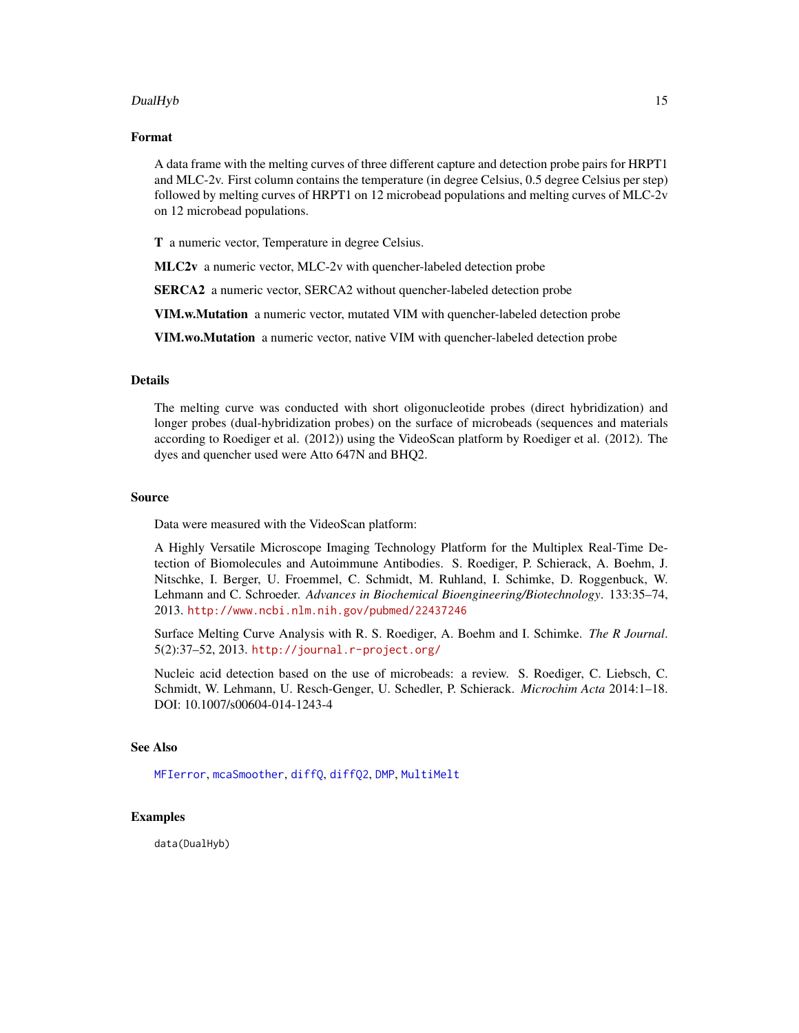# <span id="page-14-0"></span>DualHyb 15

#### Format

A data frame with the melting curves of three different capture and detection probe pairs for HRPT1 and MLC-2v. First column contains the temperature (in degree Celsius, 0.5 degree Celsius per step) followed by melting curves of HRPT1 on 12 microbead populations and melting curves of MLC-2v on 12 microbead populations.

T a numeric vector, Temperature in degree Celsius.

MLC2v a numeric vector, MLC-2v with quencher-labeled detection probe

SERCA2 a numeric vector, SERCA2 without quencher-labeled detection probe

VIM.w.Mutation a numeric vector, mutated VIM with quencher-labeled detection probe

VIM.wo.Mutation a numeric vector, native VIM with quencher-labeled detection probe

# Details

The melting curve was conducted with short oligonucleotide probes (direct hybridization) and longer probes (dual-hybridization probes) on the surface of microbeads (sequences and materials according to Roediger et al. (2012)) using the VideoScan platform by Roediger et al. (2012). The dyes and quencher used were Atto 647N and BHQ2.

#### Source

Data were measured with the VideoScan platform:

A Highly Versatile Microscope Imaging Technology Platform for the Multiplex Real-Time Detection of Biomolecules and Autoimmune Antibodies. S. Roediger, P. Schierack, A. Boehm, J. Nitschke, I. Berger, U. Froemmel, C. Schmidt, M. Ruhland, I. Schimke, D. Roggenbuck, W. Lehmann and C. Schroeder. *Advances in Biochemical Bioengineering/Biotechnology*. 133:35–74, 2013. <http://www.ncbi.nlm.nih.gov/pubmed/22437246>

Surface Melting Curve Analysis with R. S. Roediger, A. Boehm and I. Schimke. *The R Journal*. 5(2):37–52, 2013. <http://journal.r-project.org/>

Nucleic acid detection based on the use of microbeads: a review. S. Roediger, C. Liebsch, C. Schmidt, W. Lehmann, U. Resch-Genger, U. Schedler, P. Schierack. *Microchim Acta* 2014:1–18. DOI: 10.1007/s00604-014-1243-4

# See Also

[MFIerror](#page-21-1), [mcaSmoother](#page-16-1), [diffQ](#page-2-1), [diffQ2](#page-7-1), [DMP](#page-12-1), [MultiMelt](#page-22-1)

# Examples

data(DualHyb)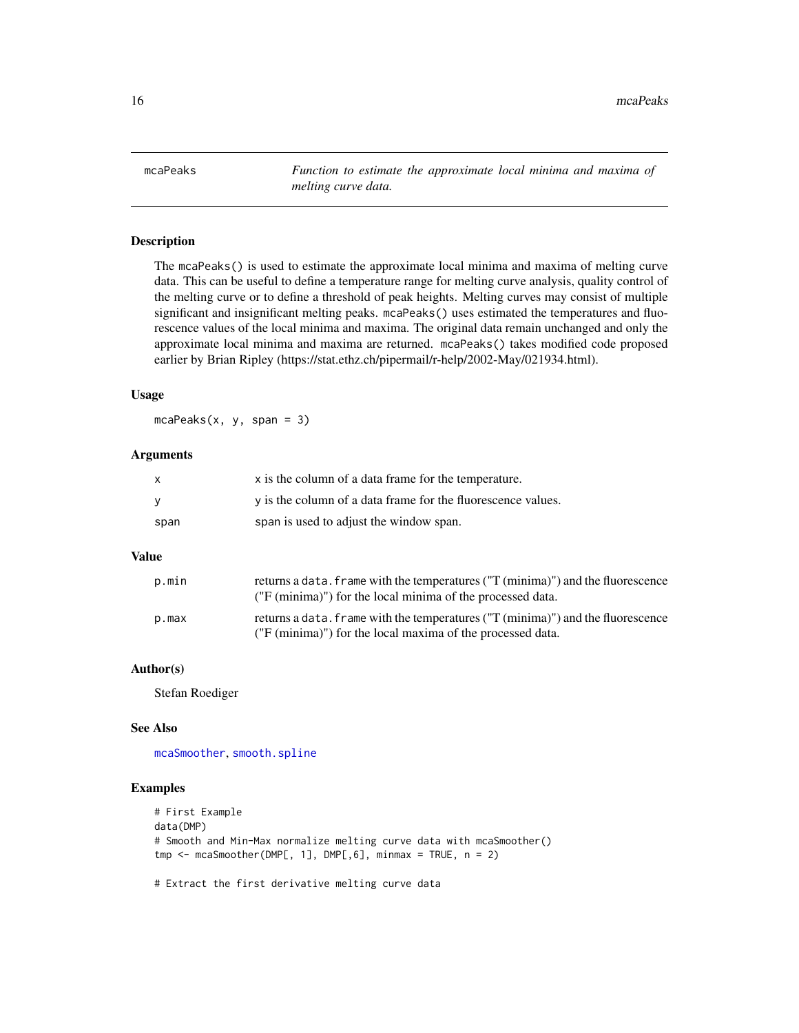<span id="page-15-0"></span>mcaPeaks *Function to estimate the approximate local minima and maxima of melting curve data.*

# Description

The mcaPeaks() is used to estimate the approximate local minima and maxima of melting curve data. This can be useful to define a temperature range for melting curve analysis, quality control of the melting curve or to define a threshold of peak heights. Melting curves may consist of multiple significant and insignificant melting peaks. mcaPeaks() uses estimated the temperatures and fluorescence values of the local minima and maxima. The original data remain unchanged and only the approximate local minima and maxima are returned. mcaPeaks() takes modified code proposed earlier by Brian Ripley (https://stat.ethz.ch/pipermail/r-help/2002-May/021934.html).

# Usage

 $mcaPeaks(x, y, span = 3)$ 

# Arguments

| X    | x is the column of a data frame for the temperature.         |
|------|--------------------------------------------------------------|
| v    | y is the column of a data frame for the fluorescence values. |
| span | span is used to adjust the window span.                      |

# Value

| p.min | returns a data. Frame with the temperatures ("T (minima)") and the fluorescence<br>("F (minima)") for the local minima of the processed data. |
|-------|-----------------------------------------------------------------------------------------------------------------------------------------------|
| p.max | returns a data. Frame with the temperatures ("T (minima)") and the fluorescence<br>("F (minima)") for the local maxima of the processed data. |

# Author(s)

Stefan Roediger

# See Also

[mcaSmoother](#page-16-1), [smooth.spline](#page-0-0)

#### Examples

```
# First Example
data(DMP)
# Smooth and Min-Max normalize melting curve data with mcaSmoother()
tmp < - mcaSmoother(DMP[, 1], DMP[, 6], minmax = TRUE, n = 2)
```
# Extract the first derivative melting curve data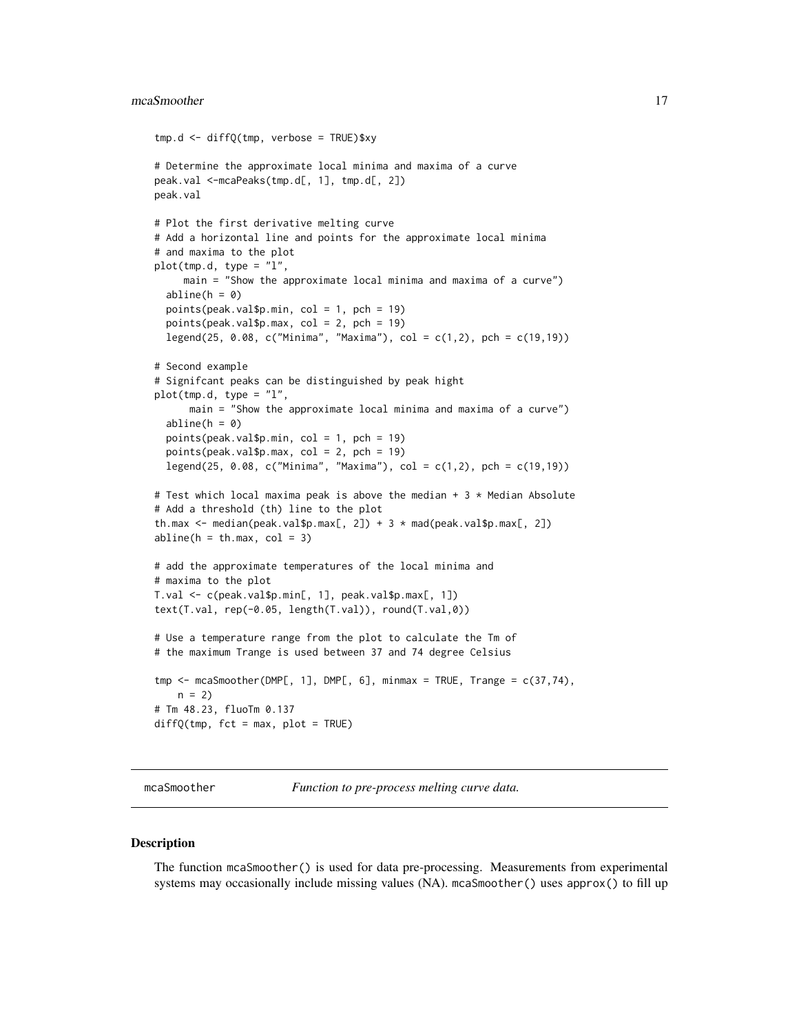#### <span id="page-16-0"></span>mcaSmoother 17

```
tmp.d <- diffQ(tmp, verbose = TRUE)$xy
# Determine the approximate local minima and maxima of a curve
peak.val <-mcaPeaks(tmp.d[, 1], tmp.d[, 2])
peak.val
# Plot the first derivative melting curve
# Add a horizontal line and points for the approximate local minima
# and maxima to the plot
plot(tmp.d, type = "l",main = "Show the approximate local minima and maxima of a curve")
 abline(h = 0)
 points(peak.val$p.min, col = 1, pch = 19)
 points(peak.val$p.max, col = 2, pch = 19)
 legend(25, 0.08, c("Minima", "Maxima"), col = c(1,2), pch = c(19,19))
# Second example
# Signifcant peaks can be distinguished by peak hight
plot(tmp.d, type = "l",
     main = "Show the approximate local minima and maxima of a curve")
 abline(h = 0)
 points(peak.val$p.min, col = 1, pch = 19)
 points(peak.val$p.max, col = 2, pch = 19)
 legend(25, 0.08, c("Minima", "Maxima"), col = c(1,2), pch = c(19,19))
# Test which local maxima peak is above the median + 3 * Median Absolute
# Add a threshold (th) line to the plot
th.max <- median(peak.val$p.max[, 2]) + 3 * mad(peak.val$p.max[, 2])
abline(h = th.max, col = 3)# add the approximate temperatures of the local minima and
# maxima to the plot
T.val <- c(peak.val$p.min[, 1], peak.val$p.max[, 1])
text(T.val, rep(-0.05, length(T.val)), round(T.val,0))
# Use a temperature range from the plot to calculate the Tm of
# the maximum Trange is used between 37 and 74 degree Celsius
tmp \leq mean 0 = mcaSmoother(DMP[, 1], DMP[, 6], minmax = TRUE, Trange = c(37, 74),
   n = 2# Tm 48.23, fluoTm 0.137
diffQ(tmp, fct = max, plot = TRUE)
```
mcaSmoother *Function to pre-process melting curve data.*

#### **Description**

The function mcaSmoother() is used for data pre-processing. Measurements from experimental systems may occasionally include missing values (NA). mcaSmoother() uses approx() to fill up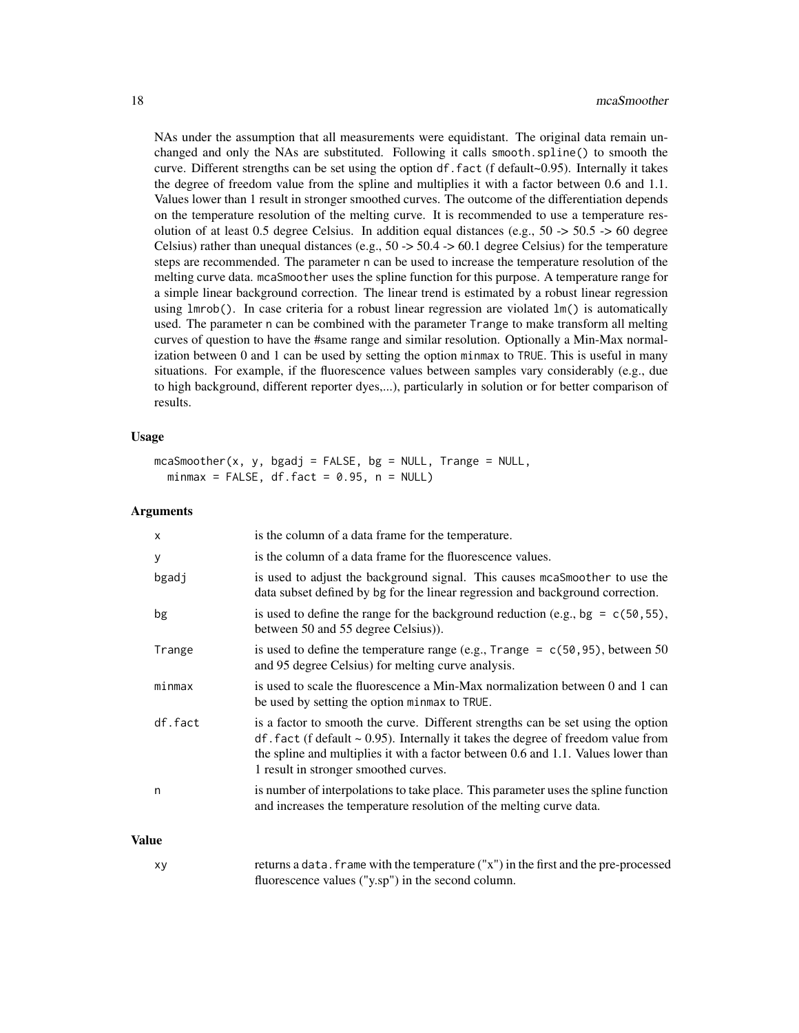NAs under the assumption that all measurements were equidistant. The original data remain unchanged and only the NAs are substituted. Following it calls smooth.spline() to smooth the curve. Different strengths can be set using the option df.fact (f default~0.95). Internally it takes the degree of freedom value from the spline and multiplies it with a factor between 0.6 and 1.1. Values lower than 1 result in stronger smoothed curves. The outcome of the differentiation depends on the temperature resolution of the melting curve. It is recommended to use a temperature resolution of at least 0.5 degree Celsius. In addition equal distances (e.g.,  $50 \rightarrow 50.5 \rightarrow 60$  degree Celsius) rather than unequal distances (e.g.,  $50 \rightarrow 50.4 \rightarrow 60.1$  degree Celsius) for the temperature steps are recommended. The parameter n can be used to increase the temperature resolution of the melting curve data. mcaSmoother uses the spline function for this purpose. A temperature range for a simple linear background correction. The linear trend is estimated by a robust linear regression using lmrob(). In case criteria for a robust linear regression are violated lm() is automatically used. The parameter n can be combined with the parameter Trange to make transform all melting curves of question to have the #same range and similar resolution. Optionally a Min-Max normalization between 0 and 1 can be used by setting the option minmax to TRUE. This is useful in many situations. For example, if the fluorescence values between samples vary considerably (e.g., due to high background, different reporter dyes,...), particularly in solution or for better comparison of results.

### Usage

```
mcaSmoother(x, y, bgadj = FALSE, bg = NULL, Trange = NULL,minmax = FALSE, df.fact = 0.95, n = NULL)
```
#### Arguments

|       | X       | is the column of a data frame for the temperature.                                                                                                                                                                                                                                                     |
|-------|---------|--------------------------------------------------------------------------------------------------------------------------------------------------------------------------------------------------------------------------------------------------------------------------------------------------------|
|       | у       | is the column of a data frame for the fluorescence values.                                                                                                                                                                                                                                             |
|       | bgadj   | is used to adjust the background signal. This causes mcaSmoother to use the<br>data subset defined by bg for the linear regression and background correction.                                                                                                                                          |
|       | bg      | is used to define the range for the background reduction (e.g., bg = $c(50, 55)$ ,<br>between 50 and 55 degree Celsius).                                                                                                                                                                               |
|       | Trange  | is used to define the temperature range (e.g., Trange = $c(50, 95)$ , between 50<br>and 95 degree Celsius) for melting curve analysis.                                                                                                                                                                 |
|       | minmax  | is used to scale the fluorescence a Min-Max normalization between 0 and 1 can<br>be used by setting the option minmax to TRUE.                                                                                                                                                                         |
|       | df.fact | is a factor to smooth the curve. Different strengths can be set using the option<br>$df$ . fact (f default ~ 0.95). Internally it takes the degree of freedom value from<br>the spline and multiplies it with a factor between 0.6 and 1.1. Values lower than<br>1 result in stronger smoothed curves. |
|       | n       | is number of interpolations to take place. This parameter uses the spline function<br>and increases the temperature resolution of the melting curve data.                                                                                                                                              |
| Value |         |                                                                                                                                                                                                                                                                                                        |

xy returns a data.frame with the temperature ("x") in the first and the pre-processed fluorescence values ("y.sp") in the second column.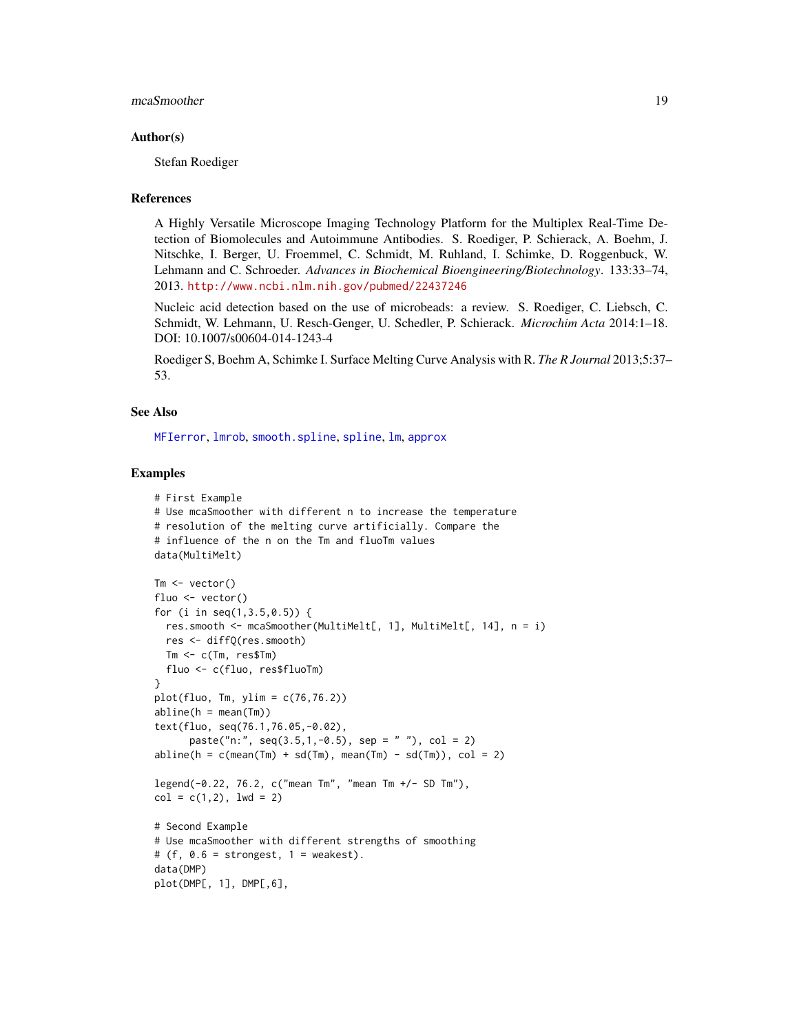# <span id="page-18-0"></span>mcaSmoother 19

### Author(s)

Stefan Roediger

#### References

A Highly Versatile Microscope Imaging Technology Platform for the Multiplex Real-Time Detection of Biomolecules and Autoimmune Antibodies. S. Roediger, P. Schierack, A. Boehm, J. Nitschke, I. Berger, U. Froemmel, C. Schmidt, M. Ruhland, I. Schimke, D. Roggenbuck, W. Lehmann and C. Schroeder. *Advances in Biochemical Bioengineering/Biotechnology*. 133:33–74, 2013. <http://www.ncbi.nlm.nih.gov/pubmed/22437246>

Nucleic acid detection based on the use of microbeads: a review. S. Roediger, C. Liebsch, C. Schmidt, W. Lehmann, U. Resch-Genger, U. Schedler, P. Schierack. *Microchim Acta* 2014:1–18. DOI: 10.1007/s00604-014-1243-4

Roediger S, Boehm A, Schimke I. Surface Melting Curve Analysis with R. *The R Journal* 2013;5:37– 53.

#### See Also

[MFIerror](#page-21-1), [lmrob](#page-0-0), [smooth.spline](#page-0-0), [spline](#page-0-0), [lm](#page-0-0), [approx](#page-0-0)

# Examples

```
# First Example
# Use mcaSmoother with different n to increase the temperature
# resolution of the melting curve artificially. Compare the
# influence of the n on the Tm and fluoTm values
data(MultiMelt)
Tm <- vector()
fluo <- vector()
for (i in seq(1,3.5,0.5)) {
  res.smooth <- mcaSmoother(MultiMelt[, 1], MultiMelt[, 14], n = i)
  res <- diffQ(res.smooth)
  Tm <- c(Tm, res$Tm)
  fluo <- c(fluo, res$fluoTm)
}
plot(fluo, Tm, ylim = c(76, 76.2))abline(h = mean(Tm))text(fluo, seq(76.1,76.05,-0.02),
      paste("n:", seq(3.5, 1, -0.5), sep = " " ), col = 2)abline(h = c(mean(Tm) + sd(Tm), mean(Tm) - sd(Tm)), col = 2)legend(-0.22, 76.2, c("mean Tm", "mean Tm +/- SD Tm"),
col = c(1, 2), 1wd = 2)# Second Example
# Use mcaSmoother with different strengths of smoothing
# (f, 0.6 = strongest, 1 = weakest).
data(DMP)
plot(DMP[, 1], DMP[,6],
```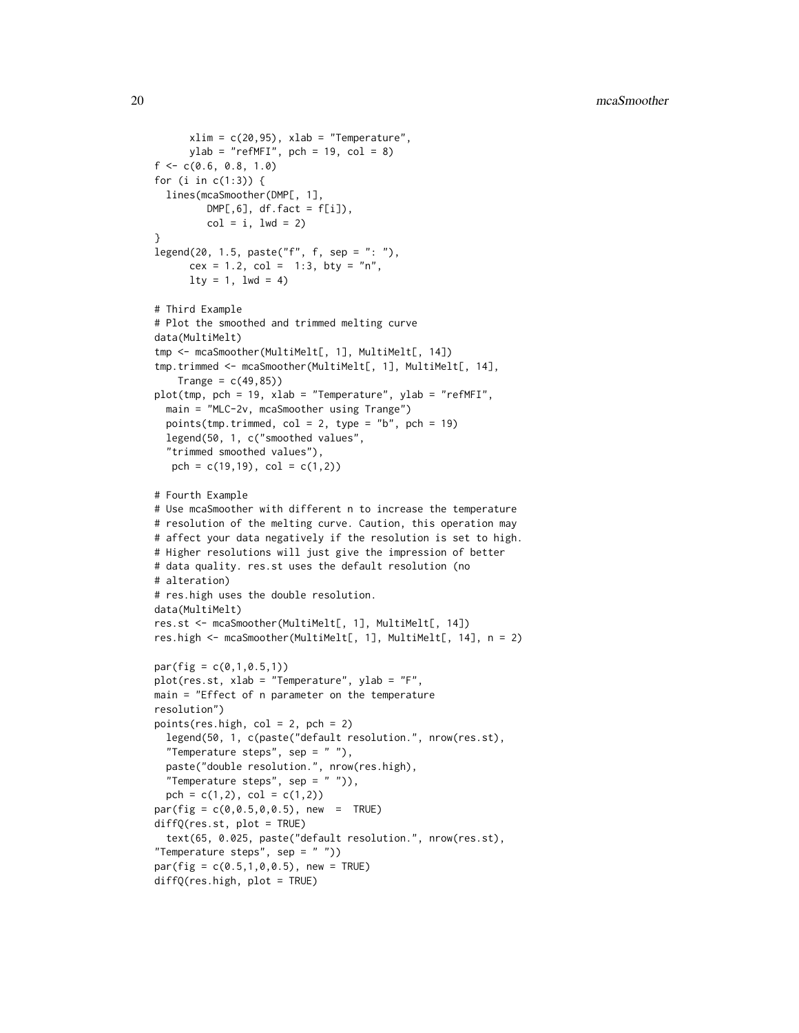```
xlim = c(20, 95), xlab = "Temperature",ylab = "refMFI", pch = 19, col = 8)f \leftarrow c(0.6, 0.8, 1.0)for (i in c(1:3)) {
 lines(mcaSmoother(DMP[, 1],
        DMP[, 6], df.fact = f[i]),col = i, 1wd = 2}
legend(20, 1.5, paste("f", f, sep = ": ");cex = 1.2, col = 1:3, bty = "n",lty = 1, lwd = 4)# Third Example
# Plot the smoothed and trimmed melting curve
data(MultiMelt)
tmp <- mcaSmoother(MultiMelt[, 1], MultiMelt[, 14])
tmp.trimmed <- mcaSmoother(MultiMelt[, 1], MultiMelt[, 14],
    Trange = c(49, 85)plot(tmp, pch = 19, xlab = "Temperature", ylab = "refMFI",
 main = "MLC-2v, mcaSmoother using Trange")
 points(tmp.trimmed, col = 2, type = "b", pch = 19)
 legend(50, 1, c("smoothed values",
  "trimmed smoothed values"),
  pch = c(19,19), col = c(1,2)# Fourth Example
# Use mcaSmoother with different n to increase the temperature
# resolution of the melting curve. Caution, this operation may
# affect your data negatively if the resolution is set to high.
# Higher resolutions will just give the impression of better
# data quality. res.st uses the default resolution (no
# alteration)
# res.high uses the double resolution.
data(MultiMelt)
res.st <- mcaSmoother(MultiMelt[, 1], MultiMelt[, 14])
res.high <- mcaSmoother(MultiMelt[, 1], MultiMelt[, 14], n = 2)
par(fig = c(0,1,0.5,1))plot(res.st, xlab = "Temperature", ylab = "F",
main = "Effect of n parameter on the temperature
resolution")
points(res.high, col = 2, pch = 2)
 legend(50, 1, c(paste("default resolution.", nrow(res.st),
 "Temperature steps", sep = " "),
 paste("double resolution.", nrow(res.high),
 "Temperature steps", sep = " ")),
 pch = c(1,2), col = c(1,2)par(fig = c(0, 0.5, 0, 0.5), new = TRUE)diffQ(res.st, plot = TRUE)
 text(65, 0.025, paste("default resolution.", nrow(res.st),
"Temperature steps", sep = " "))
par(fig = c(0.5, 1, 0, 0.5), new = TRUE)
diffQ(res.high, plot = TRUE)
```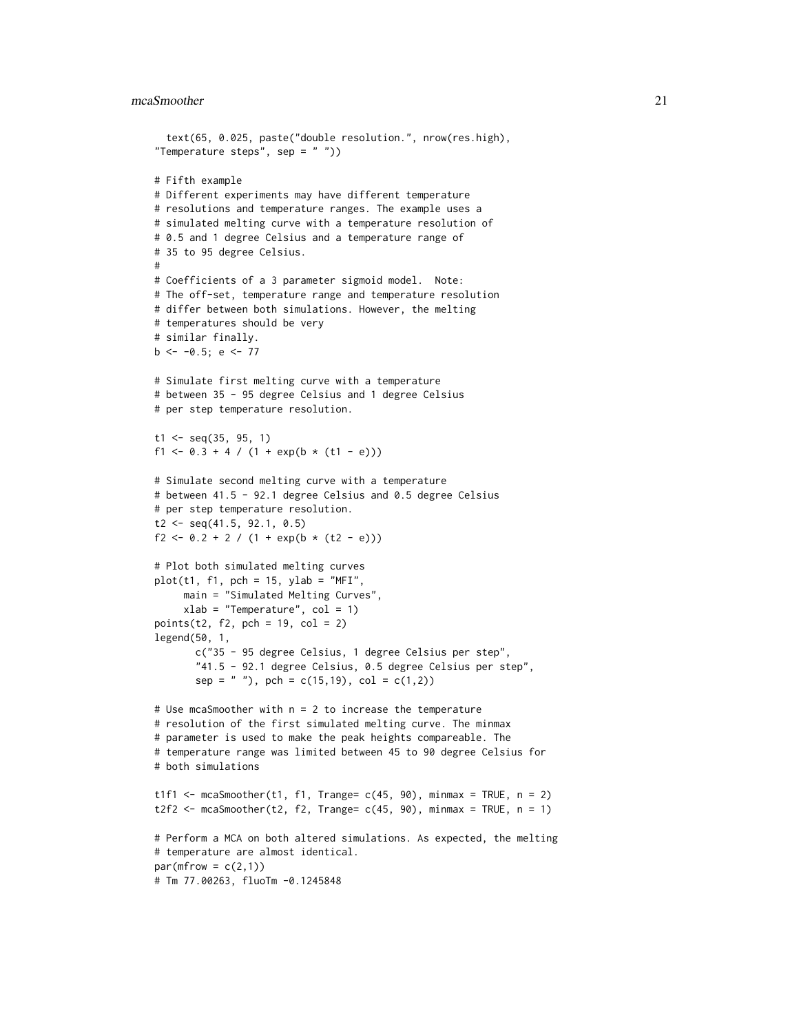#### mcaSmoother 21

```
text(65, 0.025, paste("double resolution.", nrow(res.high),
"Temperature steps", sep = "")# Fifth example
# Different experiments may have different temperature
# resolutions and temperature ranges. The example uses a
# simulated melting curve with a temperature resolution of
# 0.5 and 1 degree Celsius and a temperature range of
# 35 to 95 degree Celsius.
#
# Coefficients of a 3 parameter sigmoid model. Note:
# The off-set, temperature range and temperature resolution
# differ between both simulations. However, the melting
# temperatures should be very
# similar finally.
b \le -0.5; e \le -77# Simulate first melting curve with a temperature
# between 35 - 95 degree Celsius and 1 degree Celsius
# per step temperature resolution.
t1 <- seq(35, 95, 1)
f1 <- 0.3 + 4 / (1 + exp(b * (t1 - e)))
# Simulate second melting curve with a temperature
# between 41.5 - 92.1 degree Celsius and 0.5 degree Celsius
# per step temperature resolution.
t2 \leq - seq(41.5, 92.1, 0.5)
f2 <- 0.2 + 2 / (1 + \exp(b * (t2 - e)))# Plot both simulated melting curves
plot(t1, f1, pch = 15, ylab = "MFI",main = "Simulated Melting Curves",
     xlab = "Temperature", col = 1)points(t2, f2, pch = 19, col = 2)
legend(50, 1,
       c("35 - 95 degree Celsius, 1 degree Celsius per step",
       "41.5 - 92.1 degree Celsius, 0.5 degree Celsius per step",
       sep = " '), pch = c(15,19), col = c(1,2)# Use mcaSmoother with n = 2 to increase the temperature
# resolution of the first simulated melting curve. The minmax
# parameter is used to make the peak heights compareable. The
# temperature range was limited between 45 to 90 degree Celsius for
# both simulations
t1f1 \le mcaSmoother(t1, f1, Trange= c(45, 90), minmax = TRUE, n = 2)
t2f2 <- mcaSmoother(t2, f2, Trange= c(45, 90), minmax = TRUE, n = 1)
# Perform a MCA on both altered simulations. As expected, the melting
# temperature are almost identical.
par(mfrow = c(2,1))# Tm 77.00263, fluoTm -0.1245848
```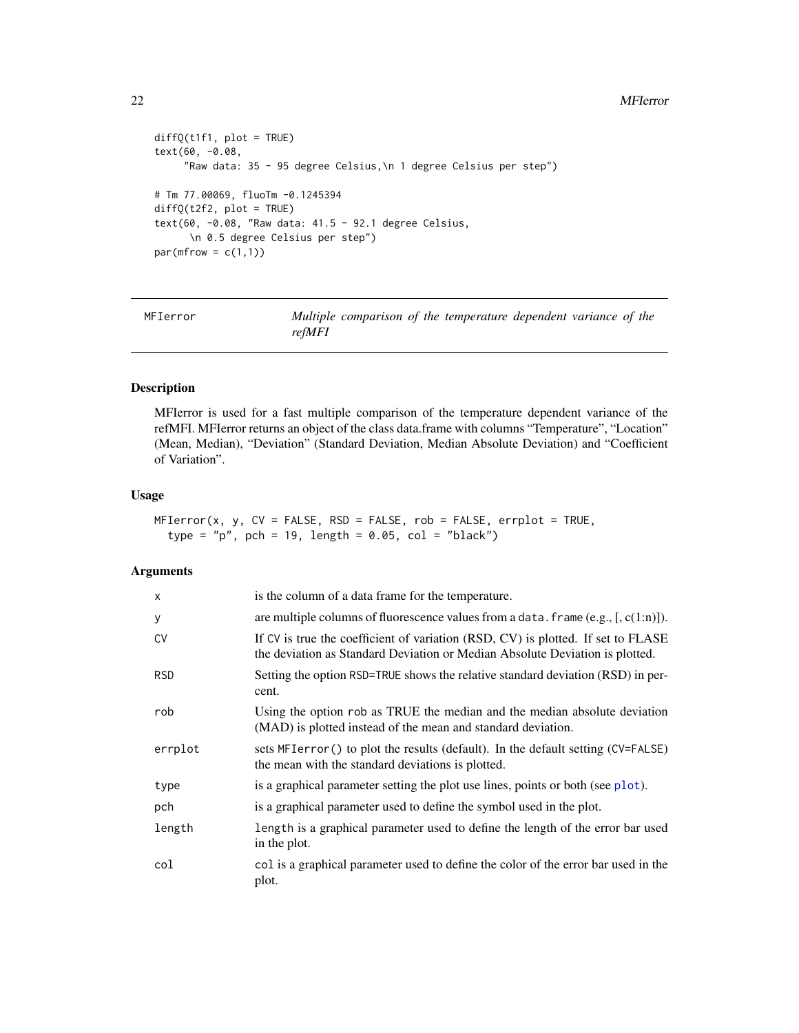#### 22 MFIerror

```
diffQ(t1f1, plot = TRUE)text(60, -0.08,
     "Raw data: 35 - 95 degree Celsius,\n 1 degree Celsius per step")
# Tm 77.00069, fluoTm -0.1245394
diffQ(t2f2, plot = TRUE)
text(60, -0.08, "Raw data: 41.5 - 92.1 degree Celsius,
     \n 0.5 degree Celsius per step")
par(mfrow = c(1,1))
```
<span id="page-21-1"></span>

MFIerror *Multiple comparison of the temperature dependent variance of the refMFI*

# Description

MFIerror is used for a fast multiple comparison of the temperature dependent variance of the refMFI. MFIerror returns an object of the class data.frame with columns "Temperature", "Location" (Mean, Median), "Deviation" (Standard Deviation, Median Absolute Deviation) and "Coefficient of Variation".

# Usage

 $MFIerror(x, y, CV = FALSE, RSD = FALSE, rob = FALSE, errplot = TRUE,$ type =  $"p"$ , pch = 19, length = 0.05, col =  $"black")$ 

# Arguments

| X          | is the column of a data frame for the temperature.                                                                                                               |
|------------|------------------------------------------------------------------------------------------------------------------------------------------------------------------|
| y          | are multiple columns of fluorescence values from a data. frame $(e.g., [c(1:n)])$ .                                                                              |
| CV         | If CV is true the coefficient of variation (RSD, CV) is plotted. If set to FLASE<br>the deviation as Standard Deviation or Median Absolute Deviation is plotted. |
| <b>RSD</b> | Setting the option RSD=TRUE shows the relative standard deviation (RSD) in per-<br>cent.                                                                         |
| rob        | Using the option rob as TRUE the median and the median absolute deviation<br>(MAD) is plotted instead of the mean and standard deviation.                        |
| errplot    | sets MFIerror () to plot the results (default). In the default setting (CV=FALSE)<br>the mean with the standard deviations is plotted.                           |
| type       | is a graphical parameter setting the plot use lines, points or both (see plot).                                                                                  |
| pch        | is a graphical parameter used to define the symbol used in the plot.                                                                                             |
| length     | length is a graphical parameter used to define the length of the error bar used<br>in the plot.                                                                  |
| col        | col is a graphical parameter used to define the color of the error bar used in the<br>plot.                                                                      |

<span id="page-21-0"></span>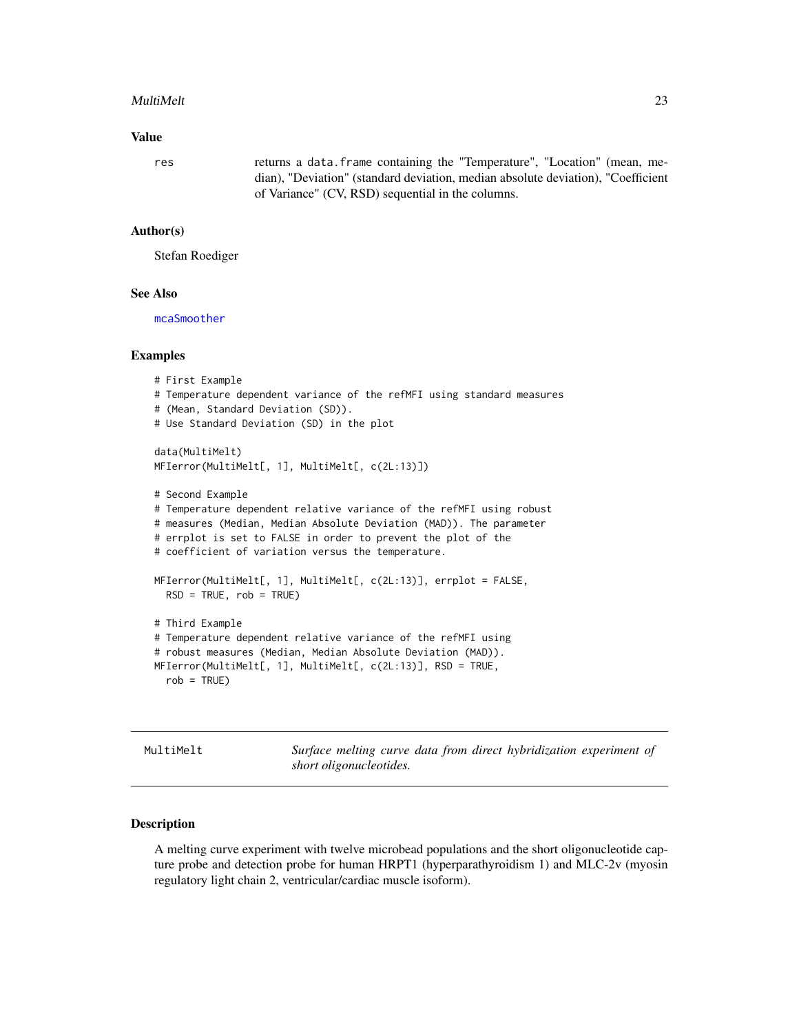#### <span id="page-22-0"></span>MultiMelt 23

# Value

res returns a data.frame containing the "Temperature", "Location" (mean, median), "Deviation" (standard deviation, median absolute deviation), "Coefficient of Variance" (CV, RSD) sequential in the columns.

# Author(s)

Stefan Roediger

# See Also

[mcaSmoother](#page-16-1)

#### Examples

```
# First Example
# Temperature dependent variance of the refMFI using standard measures
# (Mean, Standard Deviation (SD)).
# Use Standard Deviation (SD) in the plot
data(MultiMelt)
MFIerror(MultiMelt[, 1], MultiMelt[, c(2L:13)])
# Second Example
# Temperature dependent relative variance of the refMFI using robust
# measures (Median, Median Absolute Deviation (MAD)). The parameter
# errplot is set to FALSE in order to prevent the plot of the
# coefficient of variation versus the temperature.
MFIerror(MultiMelt[, 1], MultiMelt[, c(2L:13)], errplot = FALSE,
  RSD = TRUE, rob = TRUE# Third Example
# Temperature dependent relative variance of the refMFI using
# robust measures (Median, Median Absolute Deviation (MAD)).
MFIerror(MultiMelt[, 1], MultiMelt[, c(2L:13)], RSD = TRUE,
  rob = TRUE)
```
<span id="page-22-1"></span>MultiMelt *Surface melting curve data from direct hybridization experiment of short oligonucleotides.*

### Description

A melting curve experiment with twelve microbead populations and the short oligonucleotide capture probe and detection probe for human HRPT1 (hyperparathyroidism 1) and MLC-2v (myosin regulatory light chain 2, ventricular/cardiac muscle isoform).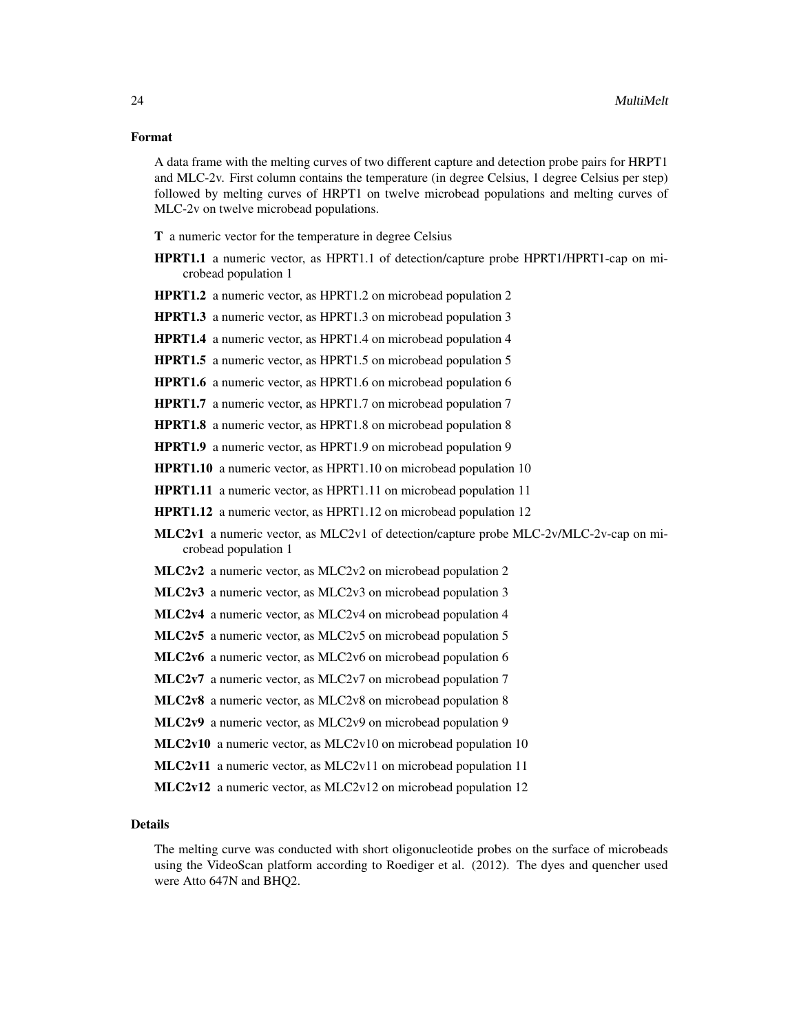# Format

A data frame with the melting curves of two different capture and detection probe pairs for HRPT1 and MLC-2v. First column contains the temperature (in degree Celsius, 1 degree Celsius per step) followed by melting curves of HRPT1 on twelve microbead populations and melting curves of MLC-2v on twelve microbead populations.

T a numeric vector for the temperature in degree Celsius

- HPRT1.1 a numeric vector, as HPRT1.1 of detection/capture probe HPRT1/HPRT1-cap on microbead population 1
- HPRT1.2 a numeric vector, as HPRT1.2 on microbead population 2

HPRT1.3 a numeric vector, as HPRT1.3 on microbead population 3

HPRT1.4 a numeric vector, as HPRT1.4 on microbead population 4

HPRT1.5 a numeric vector, as HPRT1.5 on microbead population 5

- HPRT1.6 a numeric vector, as HPRT1.6 on microbead population 6
- HPRT1.7 a numeric vector, as HPRT1.7 on microbead population 7

HPRT1.8 a numeric vector, as HPRT1.8 on microbead population 8

HPRT1.9 a numeric vector, as HPRT1.9 on microbead population 9

HPRT1.10 a numeric vector, as HPRT1.10 on microbead population 10

HPRT1.11 a numeric vector, as HPRT1.11 on microbead population 11

- HPRT1.12 a numeric vector, as HPRT1.12 on microbead population 12
- MLC2v1 a numeric vector, as MLC2v1 of detection/capture probe MLC-2v/MLC-2v-cap on microbead population 1
- MLC2v2 a numeric vector, as MLC2v2 on microbead population 2
- MLC2v3 a numeric vector, as MLC2v3 on microbead population 3
- MLC2v4 a numeric vector, as MLC2v4 on microbead population 4
- MLC2v5 a numeric vector, as MLC2v5 on microbead population 5
- MLC2v6 a numeric vector, as MLC2v6 on microbead population 6
- MLC2v7 a numeric vector, as MLC2v7 on microbead population 7
- MLC2v8 a numeric vector, as MLC2v8 on microbead population 8
- MLC2v9 a numeric vector, as MLC2v9 on microbead population 9
- MLC2v10 a numeric vector, as MLC2v10 on microbead population 10
- MLC2v11 a numeric vector, as MLC2v11 on microbead population 11
- MLC2v12 a numeric vector, as MLC2v12 on microbead population 12

# **Details**

The melting curve was conducted with short oligonucleotide probes on the surface of microbeads using the VideoScan platform according to Roediger et al. (2012). The dyes and quencher used were Atto 647N and BHQ2.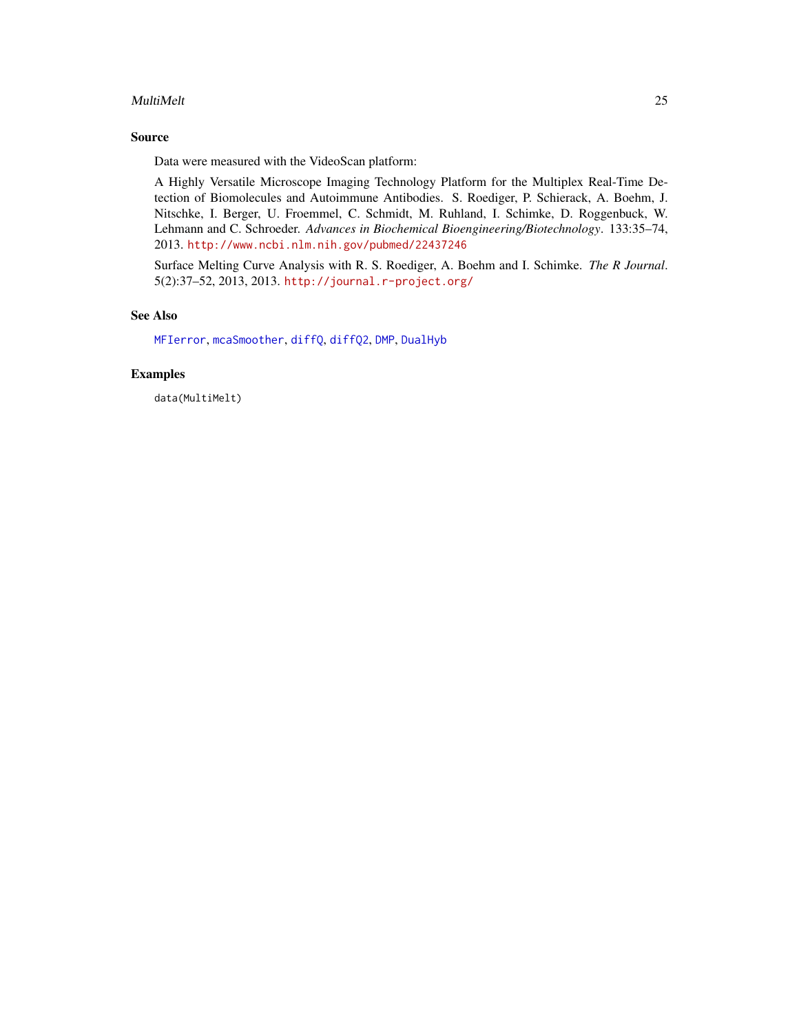### <span id="page-24-0"></span>MultiMelt 25

# Source

Data were measured with the VideoScan platform:

A Highly Versatile Microscope Imaging Technology Platform for the Multiplex Real-Time Detection of Biomolecules and Autoimmune Antibodies. S. Roediger, P. Schierack, A. Boehm, J. Nitschke, I. Berger, U. Froemmel, C. Schmidt, M. Ruhland, I. Schimke, D. Roggenbuck, W. Lehmann and C. Schroeder. *Advances in Biochemical Bioengineering/Biotechnology*. 133:35–74, 2013. <http://www.ncbi.nlm.nih.gov/pubmed/22437246>

Surface Melting Curve Analysis with R. S. Roediger, A. Boehm and I. Schimke. *The R Journal*. 5(2):37–52, 2013, 2013. <http://journal.r-project.org/>

# See Also

[MFIerror](#page-21-1), [mcaSmoother](#page-16-1), [diffQ](#page-2-1), [diffQ2](#page-7-1), [DMP](#page-12-1), [DualHyb](#page-13-1)

# Examples

data(MultiMelt)